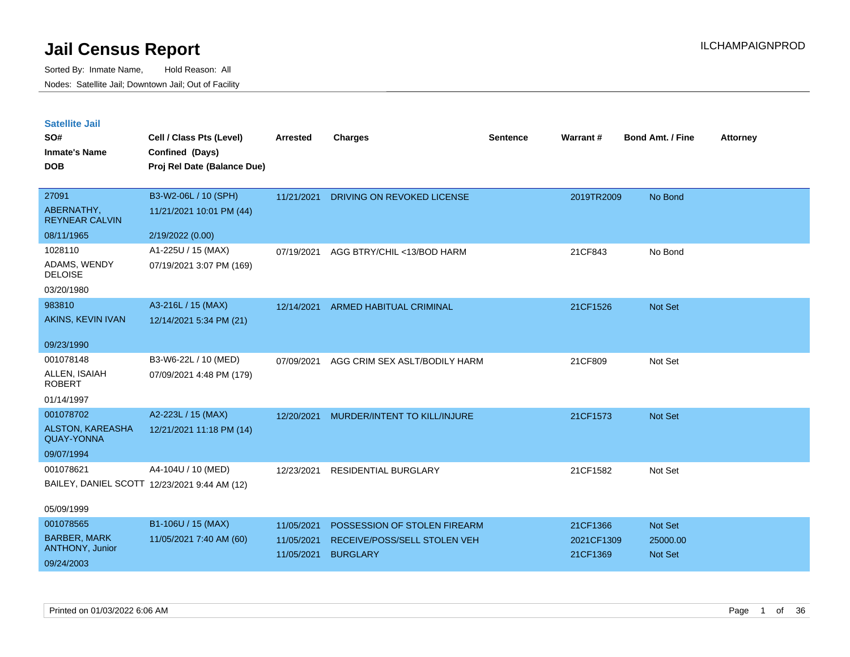| <b>Satellite Jail</b> |  |
|-----------------------|--|
|                       |  |

| SO#<br><b>Inmate's Name</b>            | Cell / Class Pts (Level)<br>Confined (Days)  | <b>Arrested</b>          | <b>Charges</b>                                  | <b>Sentence</b> | Warrant#               | <b>Bond Amt. / Fine</b> | <b>Attorney</b> |
|----------------------------------------|----------------------------------------------|--------------------------|-------------------------------------------------|-----------------|------------------------|-------------------------|-----------------|
| <b>DOB</b>                             | Proj Rel Date (Balance Due)                  |                          |                                                 |                 |                        |                         |                 |
| 27091                                  | B3-W2-06L / 10 (SPH)                         | 11/21/2021               | DRIVING ON REVOKED LICENSE                      |                 | 2019TR2009             | No Bond                 |                 |
| ABERNATHY,<br><b>REYNEAR CALVIN</b>    | 11/21/2021 10:01 PM (44)                     |                          |                                                 |                 |                        |                         |                 |
| 08/11/1965                             | 2/19/2022 (0.00)                             |                          |                                                 |                 |                        |                         |                 |
| 1028110                                | A1-225U / 15 (MAX)                           | 07/19/2021               | AGG BTRY/CHIL <13/BOD HARM                      |                 | 21CF843                | No Bond                 |                 |
| ADAMS, WENDY<br><b>DELOISE</b>         | 07/19/2021 3:07 PM (169)                     |                          |                                                 |                 |                        |                         |                 |
| 03/20/1980                             |                                              |                          |                                                 |                 |                        |                         |                 |
| 983810                                 | A3-216L / 15 (MAX)                           | 12/14/2021               | <b>ARMED HABITUAL CRIMINAL</b>                  |                 | 21CF1526               | Not Set                 |                 |
| AKINS, KEVIN IVAN                      | 12/14/2021 5:34 PM (21)                      |                          |                                                 |                 |                        |                         |                 |
| 09/23/1990                             |                                              |                          |                                                 |                 |                        |                         |                 |
| 001078148                              | B3-W6-22L / 10 (MED)                         | 07/09/2021               | AGG CRIM SEX ASLT/BODILY HARM                   |                 | 21CF809                | Not Set                 |                 |
| ALLEN, ISAIAH<br><b>ROBERT</b>         | 07/09/2021 4:48 PM (179)                     |                          |                                                 |                 |                        |                         |                 |
| 01/14/1997                             |                                              |                          |                                                 |                 |                        |                         |                 |
| 001078702                              | A2-223L / 15 (MAX)                           | 12/20/2021               | MURDER/INTENT TO KILL/INJURE                    |                 | 21CF1573               | Not Set                 |                 |
| ALSTON, KAREASHA<br><b>QUAY-YONNA</b>  | 12/21/2021 11:18 PM (14)                     |                          |                                                 |                 |                        |                         |                 |
| 09/07/1994                             |                                              |                          |                                                 |                 |                        |                         |                 |
| 001078621                              | A4-104U / 10 (MED)                           | 12/23/2021               | RESIDENTIAL BURGLARY                            |                 | 21CF1582               | Not Set                 |                 |
|                                        | BAILEY, DANIEL SCOTT 12/23/2021 9:44 AM (12) |                          |                                                 |                 |                        |                         |                 |
| 05/09/1999                             |                                              |                          |                                                 |                 |                        |                         |                 |
| 001078565                              | B1-106U / 15 (MAX)                           | 11/05/2021               | POSSESSION OF STOLEN FIREARM                    |                 | 21CF1366               | Not Set                 |                 |
| <b>BARBER, MARK</b><br>ANTHONY, Junior | 11/05/2021 7:40 AM (60)                      | 11/05/2021<br>11/05/2021 | RECEIVE/POSS/SELL STOLEN VEH<br><b>BURGLARY</b> |                 | 2021CF1309<br>21CF1369 | 25000.00<br>Not Set     |                 |
| 09/24/2003                             |                                              |                          |                                                 |                 |                        |                         |                 |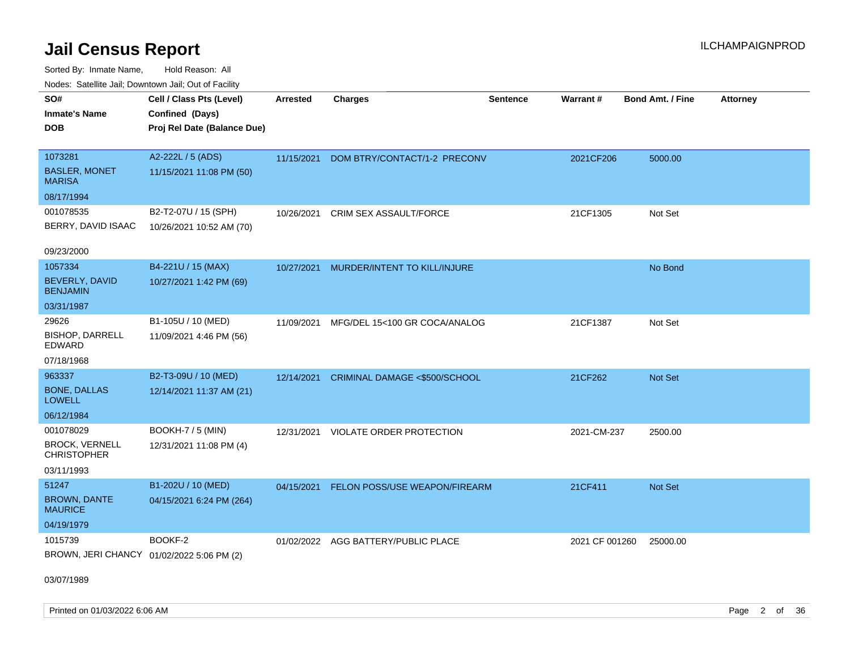Sorted By: Inmate Name, Hold Reason: All Nodes: Satellite Jail; Downtown Jail; Out of Facility

| ivous. Saleling Jali, Downtown Jali, Out of Facility |                             |            |                                      |                 |                |                         |                 |
|------------------------------------------------------|-----------------------------|------------|--------------------------------------|-----------------|----------------|-------------------------|-----------------|
| SO#                                                  | Cell / Class Pts (Level)    | Arrested   | <b>Charges</b>                       | <b>Sentence</b> | Warrant#       | <b>Bond Amt. / Fine</b> | <b>Attorney</b> |
| <b>Inmate's Name</b>                                 | Confined (Days)             |            |                                      |                 |                |                         |                 |
| <b>DOB</b>                                           | Proj Rel Date (Balance Due) |            |                                      |                 |                |                         |                 |
|                                                      |                             |            |                                      |                 |                |                         |                 |
| 1073281                                              | A2-222L / 5 (ADS)           | 11/15/2021 | DOM BTRY/CONTACT/1-2 PRECONV         |                 | 2021CF206      | 5000.00                 |                 |
| <b>BASLER, MONET</b><br><b>MARISA</b>                | 11/15/2021 11:08 PM (50)    |            |                                      |                 |                |                         |                 |
| 08/17/1994                                           |                             |            |                                      |                 |                |                         |                 |
| 001078535                                            | B2-T2-07U / 15 (SPH)        | 10/26/2021 | CRIM SEX ASSAULT/FORCE               |                 | 21CF1305       | Not Set                 |                 |
| BERRY, DAVID ISAAC                                   | 10/26/2021 10:52 AM (70)    |            |                                      |                 |                |                         |                 |
|                                                      |                             |            |                                      |                 |                |                         |                 |
| 09/23/2000                                           |                             |            |                                      |                 |                |                         |                 |
| 1057334                                              | B4-221U / 15 (MAX)          | 10/27/2021 | MURDER/INTENT TO KILL/INJURE         |                 |                | No Bond                 |                 |
| BEVERLY, DAVID<br><b>BENJAMIN</b>                    | 10/27/2021 1:42 PM (69)     |            |                                      |                 |                |                         |                 |
| 03/31/1987                                           |                             |            |                                      |                 |                |                         |                 |
| 29626                                                | B1-105U / 10 (MED)          | 11/09/2021 | MFG/DEL 15<100 GR COCA/ANALOG        |                 | 21CF1387       | Not Set                 |                 |
| <b>BISHOP, DARRELL</b><br><b>EDWARD</b>              | 11/09/2021 4:46 PM (56)     |            |                                      |                 |                |                         |                 |
| 07/18/1968                                           |                             |            |                                      |                 |                |                         |                 |
| 963337                                               | B2-T3-09U / 10 (MED)        | 12/14/2021 | CRIMINAL DAMAGE <\$500/SCHOOL        |                 | 21CF262        | Not Set                 |                 |
| <b>BONE, DALLAS</b><br><b>LOWELL</b>                 | 12/14/2021 11:37 AM (21)    |            |                                      |                 |                |                         |                 |
| 06/12/1984                                           |                             |            |                                      |                 |                |                         |                 |
| 001078029                                            | <b>BOOKH-7 / 5 (MIN)</b>    | 12/31/2021 | VIOLATE ORDER PROTECTION             |                 | 2021-CM-237    | 2500.00                 |                 |
| <b>BROCK, VERNELL</b><br><b>CHRISTOPHER</b>          | 12/31/2021 11:08 PM (4)     |            |                                      |                 |                |                         |                 |
| 03/11/1993                                           |                             |            |                                      |                 |                |                         |                 |
| 51247                                                | B1-202U / 10 (MED)          | 04/15/2021 | <b>FELON POSS/USE WEAPON/FIREARM</b> |                 | 21CF411        | Not Set                 |                 |
| <b>BROWN, DANTE</b><br><b>MAURICE</b>                | 04/15/2021 6:24 PM (264)    |            |                                      |                 |                |                         |                 |
| 04/19/1979                                           |                             |            |                                      |                 |                |                         |                 |
| 1015739                                              | BOOKF-2                     |            | 01/02/2022 AGG BATTERY/PUBLIC PLACE  |                 | 2021 CF 001260 | 25000.00                |                 |
| BROWN, JERI CHANCY 01/02/2022 5:06 PM (2)            |                             |            |                                      |                 |                |                         |                 |
|                                                      |                             |            |                                      |                 |                |                         |                 |

03/07/1989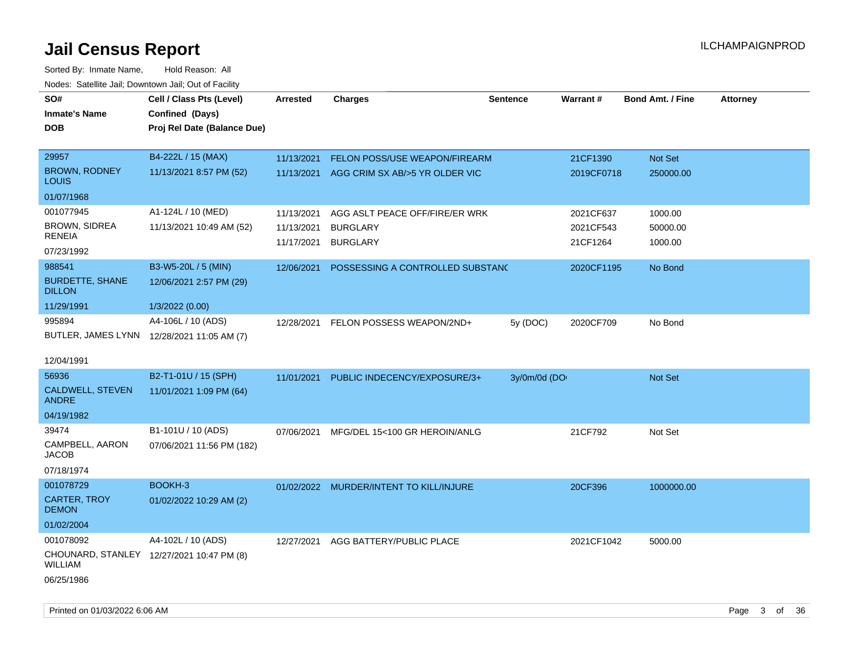| Todoo. Catolino can, Bowritown can, Oat or I domt<br>SO#<br><b>Inmate's Name</b><br><b>DOB</b> | Cell / Class Pts (Level)<br>Confined (Days)<br>Proj Rel Date (Balance Due) | <b>Arrested</b> | <b>Charges</b>                          | <b>Sentence</b> | <b>Warrant#</b> | <b>Bond Amt. / Fine</b> | <b>Attorney</b> |
|------------------------------------------------------------------------------------------------|----------------------------------------------------------------------------|-----------------|-----------------------------------------|-----------------|-----------------|-------------------------|-----------------|
| 29957                                                                                          | B4-222L / 15 (MAX)                                                         | 11/13/2021      | FELON POSS/USE WEAPON/FIREARM           |                 | 21CF1390        | Not Set                 |                 |
| <b>BROWN, RODNEY</b><br><b>LOUIS</b>                                                           | 11/13/2021 8:57 PM (52)                                                    | 11/13/2021      | AGG CRIM SX AB/>5 YR OLDER VIC          |                 | 2019CF0718      | 250000.00               |                 |
| 01/07/1968                                                                                     |                                                                            |                 |                                         |                 |                 |                         |                 |
| 001077945                                                                                      | A1-124L / 10 (MED)                                                         | 11/13/2021      | AGG ASLT PEACE OFF/FIRE/ER WRK          |                 | 2021CF637       | 1000.00                 |                 |
| <b>BROWN, SIDREA</b>                                                                           | 11/13/2021 10:49 AM (52)                                                   | 11/13/2021      | <b>BURGLARY</b>                         |                 | 2021CF543       | 50000.00                |                 |
| <b>RENEIA</b><br>07/23/1992                                                                    |                                                                            | 11/17/2021      | <b>BURGLARY</b>                         |                 | 21CF1264        | 1000.00                 |                 |
| 988541                                                                                         | B3-W5-20L / 5 (MIN)                                                        | 12/06/2021      | POSSESSING A CONTROLLED SUBSTANC        |                 | 2020CF1195      | No Bond                 |                 |
| <b>BURDETTE, SHANE</b><br><b>DILLON</b>                                                        | 12/06/2021 2:57 PM (29)                                                    |                 |                                         |                 |                 |                         |                 |
| 11/29/1991                                                                                     | 1/3/2022 (0.00)                                                            |                 |                                         |                 |                 |                         |                 |
| 995894                                                                                         | A4-106L / 10 (ADS)                                                         | 12/28/2021      | FELON POSSESS WEAPON/2ND+               | 5y (DOC)        | 2020CF709       | No Bond                 |                 |
| BUTLER, JAMES LYNN 12/28/2021 11:05 AM (7)                                                     |                                                                            |                 |                                         |                 |                 |                         |                 |
| 12/04/1991                                                                                     |                                                                            |                 |                                         |                 |                 |                         |                 |
| 56936                                                                                          | B2-T1-01U / 15 (SPH)                                                       | 11/01/2021      | PUBLIC INDECENCY/EXPOSURE/3+            | 3y/0m/0d (DO    |                 | Not Set                 |                 |
| CALDWELL, STEVEN<br><b>ANDRE</b>                                                               | 11/01/2021 1:09 PM (64)                                                    |                 |                                         |                 |                 |                         |                 |
| 04/19/1982                                                                                     |                                                                            |                 |                                         |                 |                 |                         |                 |
| 39474                                                                                          | B1-101U / 10 (ADS)                                                         | 07/06/2021      | MFG/DEL 15<100 GR HEROIN/ANLG           |                 | 21CF792         | Not Set                 |                 |
| CAMPBELL, AARON<br><b>JACOB</b>                                                                | 07/06/2021 11:56 PM (182)                                                  |                 |                                         |                 |                 |                         |                 |
| 07/18/1974                                                                                     |                                                                            |                 |                                         |                 |                 |                         |                 |
| 001078729                                                                                      | BOOKH-3                                                                    |                 | 01/02/2022 MURDER/INTENT TO KILL/INJURE |                 | 20CF396         | 1000000.00              |                 |
| <b>CARTER, TROY</b><br><b>DEMON</b>                                                            | 01/02/2022 10:29 AM (2)                                                    |                 |                                         |                 |                 |                         |                 |
| 01/02/2004                                                                                     |                                                                            |                 |                                         |                 |                 |                         |                 |
| 001078092                                                                                      | A4-102L / 10 (ADS)                                                         | 12/27/2021      | AGG BATTERY/PUBLIC PLACE                |                 | 2021CF1042      | 5000.00                 |                 |
| CHOUNARD, STANLEY 12/27/2021 10:47 PM (8)<br><b>WILLIAM</b>                                    |                                                                            |                 |                                         |                 |                 |                         |                 |
| 06/25/1986                                                                                     |                                                                            |                 |                                         |                 |                 |                         |                 |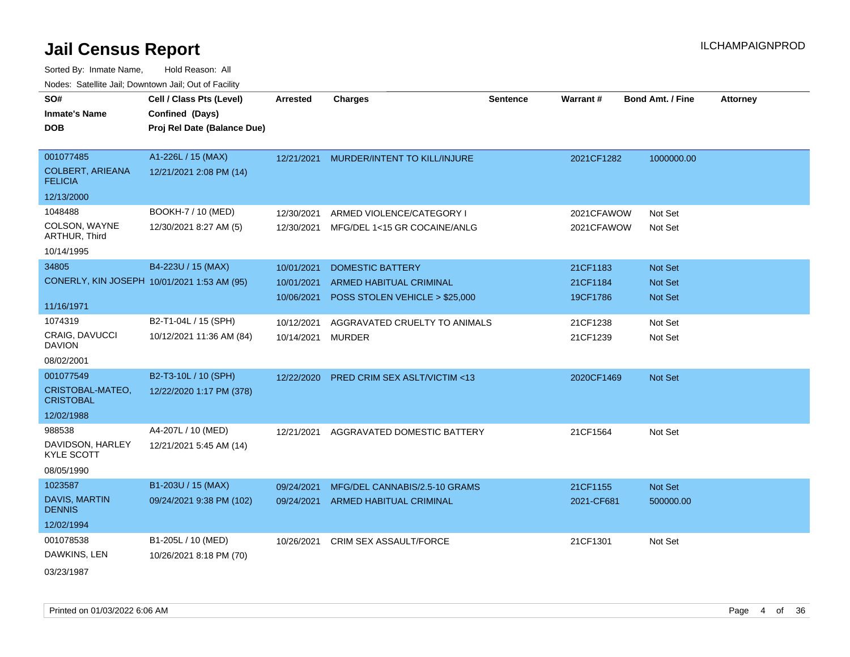| SO#                                         | Cell / Class Pts (Level)    | <b>Arrested</b> | <b>Charges</b>                 | <b>Sentence</b> | Warrant#   | <b>Bond Amt. / Fine</b> | <b>Attorney</b> |
|---------------------------------------------|-----------------------------|-----------------|--------------------------------|-----------------|------------|-------------------------|-----------------|
| <b>Inmate's Name</b>                        | Confined (Days)             |                 |                                |                 |            |                         |                 |
| <b>DOB</b>                                  | Proj Rel Date (Balance Due) |                 |                                |                 |            |                         |                 |
|                                             |                             |                 |                                |                 |            |                         |                 |
| 001077485                                   | A1-226L / 15 (MAX)          | 12/21/2021      | MURDER/INTENT TO KILL/INJURE   |                 | 2021CF1282 | 1000000.00              |                 |
| <b>COLBERT, ARIEANA</b><br><b>FELICIA</b>   | 12/21/2021 2:08 PM (14)     |                 |                                |                 |            |                         |                 |
| 12/13/2000                                  |                             |                 |                                |                 |            |                         |                 |
| 1048488                                     | BOOKH-7 / 10 (MED)          | 12/30/2021      | ARMED VIOLENCE/CATEGORY I      |                 | 2021CFAWOW | Not Set                 |                 |
| COLSON, WAYNE<br>ARTHUR, Third              | 12/30/2021 8:27 AM (5)      | 12/30/2021      | MFG/DEL 1<15 GR COCAINE/ANLG   |                 | 2021CFAWOW | Not Set                 |                 |
| 10/14/1995                                  |                             |                 |                                |                 |            |                         |                 |
| 34805                                       | B4-223U / 15 (MAX)          | 10/01/2021      | <b>DOMESTIC BATTERY</b>        |                 | 21CF1183   | <b>Not Set</b>          |                 |
| CONERLY, KIN JOSEPH 10/01/2021 1:53 AM (95) |                             | 10/01/2021      | <b>ARMED HABITUAL CRIMINAL</b> |                 | 21CF1184   | <b>Not Set</b>          |                 |
|                                             |                             | 10/06/2021      | POSS STOLEN VEHICLE > \$25,000 |                 | 19CF1786   | <b>Not Set</b>          |                 |
| 11/16/1971                                  |                             |                 |                                |                 |            |                         |                 |
| 1074319                                     | B2-T1-04L / 15 (SPH)        | 10/12/2021      | AGGRAVATED CRUELTY TO ANIMALS  |                 | 21CF1238   | Not Set                 |                 |
| <b>CRAIG, DAVUCCI</b><br><b>DAVION</b>      | 10/12/2021 11:36 AM (84)    | 10/14/2021      | MURDER                         |                 | 21CF1239   | Not Set                 |                 |
| 08/02/2001                                  |                             |                 |                                |                 |            |                         |                 |
| 001077549                                   | B2-T3-10L / 10 (SPH)        | 12/22/2020      | PRED CRIM SEX ASLT/VICTIM <13  |                 | 2020CF1469 | Not Set                 |                 |
| CRISTOBAL-MATEO,<br><b>CRISTOBAL</b>        | 12/22/2020 1:17 PM (378)    |                 |                                |                 |            |                         |                 |
| 12/02/1988                                  |                             |                 |                                |                 |            |                         |                 |
| 988538                                      | A4-207L / 10 (MED)          | 12/21/2021      | AGGRAVATED DOMESTIC BATTERY    |                 | 21CF1564   | Not Set                 |                 |
| DAVIDSON, HARLEY<br><b>KYLE SCOTT</b>       | 12/21/2021 5:45 AM (14)     |                 |                                |                 |            |                         |                 |
| 08/05/1990                                  |                             |                 |                                |                 |            |                         |                 |
| 1023587                                     | B1-203U / 15 (MAX)          | 09/24/2021      | MFG/DEL CANNABIS/2.5-10 GRAMS  |                 | 21CF1155   | Not Set                 |                 |
| DAVIS, MARTIN<br><b>DENNIS</b>              | 09/24/2021 9:38 PM (102)    | 09/24/2021      | ARMED HABITUAL CRIMINAL        |                 | 2021-CF681 | 500000.00               |                 |
| 12/02/1994                                  |                             |                 |                                |                 |            |                         |                 |
| 001078538                                   | B1-205L / 10 (MED)          | 10/26/2021      | <b>CRIM SEX ASSAULT/FORCE</b>  |                 | 21CF1301   | Not Set                 |                 |
| DAWKINS, LEN                                | 10/26/2021 8:18 PM (70)     |                 |                                |                 |            |                         |                 |
| 03/23/1987                                  |                             |                 |                                |                 |            |                         |                 |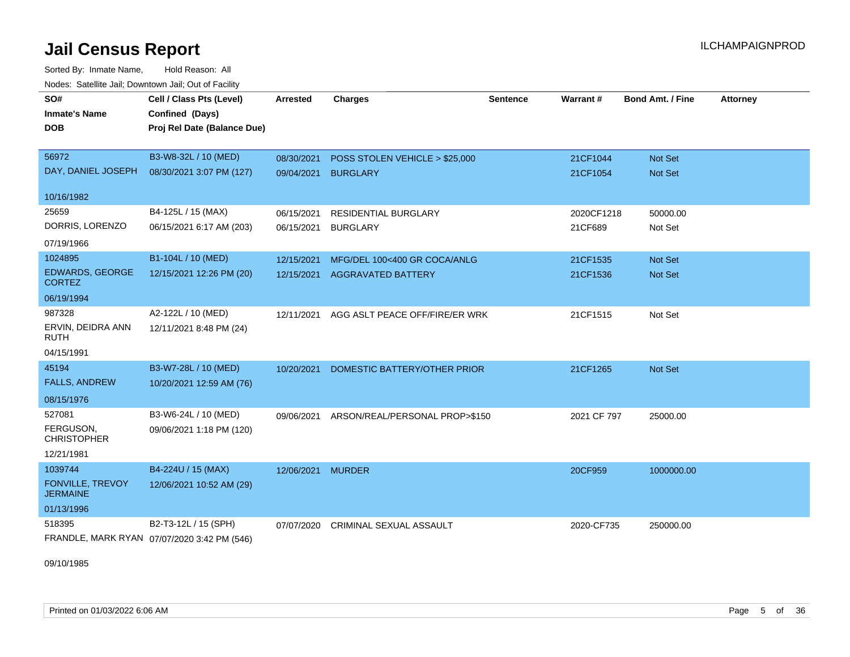Sorted By: Inmate Name, Hold Reason: All Nodes: Satellite Jail; Downtown Jail; Out of Facility

| SO#<br><b>Inmate's Name</b><br><b>DOB</b>                           | Cell / Class Pts (Level)<br>Confined (Days)<br>Proj Rel Date (Balance Due) | <b>Arrested</b>          | <b>Charges</b>                                            | <b>Sentence</b> | Warrant#              | <b>Bond Amt. / Fine</b>   | <b>Attorney</b> |
|---------------------------------------------------------------------|----------------------------------------------------------------------------|--------------------------|-----------------------------------------------------------|-----------------|-----------------------|---------------------------|-----------------|
| 56972<br>DAY, DANIEL JOSEPH                                         | B3-W8-32L / 10 (MED)<br>08/30/2021 3:07 PM (127)                           | 08/30/2021<br>09/04/2021 | POSS STOLEN VEHICLE > \$25,000<br><b>BURGLARY</b>         |                 | 21CF1044<br>21CF1054  | Not Set<br>Not Set        |                 |
| 10/16/1982                                                          |                                                                            |                          |                                                           |                 |                       |                           |                 |
| 25659<br>DORRIS, LORENZO<br>07/19/1966                              | B4-125L / 15 (MAX)<br>06/15/2021 6:17 AM (203)                             | 06/15/2021<br>06/15/2021 | RESIDENTIAL BURGLARY<br><b>BURGLARY</b>                   |                 | 2020CF1218<br>21CF689 | 50000.00<br>Not Set       |                 |
| 1024895<br><b>EDWARDS, GEORGE</b><br><b>CORTEZ</b><br>06/19/1994    | B1-104L / 10 (MED)<br>12/15/2021 12:26 PM (20)                             | 12/15/2021<br>12/15/2021 | MFG/DEL 100<400 GR COCA/ANLG<br><b>AGGRAVATED BATTERY</b> |                 | 21CF1535<br>21CF1536  | <b>Not Set</b><br>Not Set |                 |
| 987328<br>ERVIN, DEIDRA ANN<br><b>RUTH</b><br>04/15/1991            | A2-122L / 10 (MED)<br>12/11/2021 8:48 PM (24)                              | 12/11/2021               | AGG ASLT PEACE OFF/FIRE/ER WRK                            |                 | 21CF1515              | Not Set                   |                 |
| 45194<br><b>FALLS, ANDREW</b><br>08/15/1976                         | B3-W7-28L / 10 (MED)<br>10/20/2021 12:59 AM (76)                           | 10/20/2021               | DOMESTIC BATTERY/OTHER PRIOR                              |                 | 21CF1265              | Not Set                   |                 |
| 527081<br>FERGUSON,<br><b>CHRISTOPHER</b><br>12/21/1981             | B3-W6-24L / 10 (MED)<br>09/06/2021 1:18 PM (120)                           | 09/06/2021               | ARSON/REAL/PERSONAL PROP>\$150                            |                 | 2021 CF 797           | 25000.00                  |                 |
| 1039744<br><b>FONVILLE, TREVOY</b><br><b>JERMAINE</b><br>01/13/1996 | B4-224U / 15 (MAX)<br>12/06/2021 10:52 AM (29)                             | 12/06/2021               | <b>MURDER</b>                                             |                 | 20CF959               | 1000000.00                |                 |
| 518395                                                              | B2-T3-12L / 15 (SPH)<br>FRANDLE, MARK RYAN 07/07/2020 3:42 PM (546)        | 07/07/2020               | <b>CRIMINAL SEXUAL ASSAULT</b>                            |                 | 2020-CF735            | 250000.00                 |                 |

09/10/1985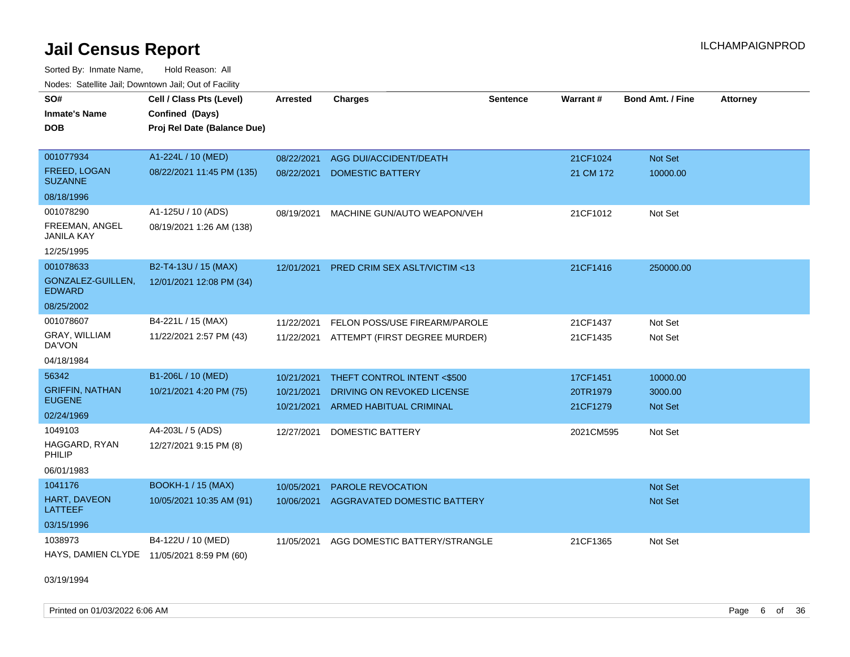Sorted By: Inmate Name, Hold Reason: All

|                                       | Nodes: Satellite Jail; Downtown Jail; Out of Facility |                 |                                         |          |           |                  |                 |  |  |  |
|---------------------------------------|-------------------------------------------------------|-----------------|-----------------------------------------|----------|-----------|------------------|-----------------|--|--|--|
| SO#                                   | Cell / Class Pts (Level)                              | <b>Arrested</b> | <b>Charges</b>                          | Sentence | Warrant#  | Bond Amt. / Fine | <b>Attorney</b> |  |  |  |
| <b>Inmate's Name</b>                  | Confined (Days)                                       |                 |                                         |          |           |                  |                 |  |  |  |
| <b>DOB</b>                            | Proj Rel Date (Balance Due)                           |                 |                                         |          |           |                  |                 |  |  |  |
|                                       |                                                       |                 |                                         |          |           |                  |                 |  |  |  |
| 001077934                             | A1-224L / 10 (MED)                                    | 08/22/2021      | AGG DUI/ACCIDENT/DEATH                  |          | 21CF1024  | <b>Not Set</b>   |                 |  |  |  |
| <b>FREED, LOGAN</b><br><b>SUZANNE</b> | 08/22/2021 11:45 PM (135)                             | 08/22/2021      | <b>DOMESTIC BATTERY</b>                 |          | 21 CM 172 | 10000.00         |                 |  |  |  |
| 08/18/1996                            |                                                       |                 |                                         |          |           |                  |                 |  |  |  |
| 001078290                             | A1-125U / 10 (ADS)                                    | 08/19/2021      | MACHINE GUN/AUTO WEAPON/VEH             |          | 21CF1012  | Not Set          |                 |  |  |  |
| FREEMAN, ANGEL<br><b>JANILA KAY</b>   | 08/19/2021 1:26 AM (138)                              |                 |                                         |          |           |                  |                 |  |  |  |
| 12/25/1995                            |                                                       |                 |                                         |          |           |                  |                 |  |  |  |
| 001078633                             | B2-T4-13U / 15 (MAX)                                  | 12/01/2021      | <b>PRED CRIM SEX ASLT/VICTIM &lt;13</b> |          | 21CF1416  | 250000.00        |                 |  |  |  |
| GONZALEZ-GUILLEN,<br><b>EDWARD</b>    | 12/01/2021 12:08 PM (34)                              |                 |                                         |          |           |                  |                 |  |  |  |
| 08/25/2002                            |                                                       |                 |                                         |          |           |                  |                 |  |  |  |
| 001078607                             | B4-221L / 15 (MAX)                                    | 11/22/2021      | FELON POSS/USE FIREARM/PAROLE           |          | 21CF1437  | Not Set          |                 |  |  |  |
| GRAY, WILLIAM<br>DA'VON               | 11/22/2021 2:57 PM (43)                               | 11/22/2021      | ATTEMPT (FIRST DEGREE MURDER)           |          | 21CF1435  | Not Set          |                 |  |  |  |
| 04/18/1984                            |                                                       |                 |                                         |          |           |                  |                 |  |  |  |
| 56342                                 | B1-206L / 10 (MED)                                    | 10/21/2021      | THEFT CONTROL INTENT <\$500             |          | 17CF1451  | 10000.00         |                 |  |  |  |
| <b>GRIFFIN, NATHAN</b>                | 10/21/2021 4:20 PM (75)                               | 10/21/2021      | DRIVING ON REVOKED LICENSE              |          | 20TR1979  | 3000.00          |                 |  |  |  |
| <b>EUGENE</b>                         |                                                       | 10/21/2021      | ARMED HABITUAL CRIMINAL                 |          | 21CF1279  | <b>Not Set</b>   |                 |  |  |  |
| 02/24/1969                            |                                                       |                 |                                         |          |           |                  |                 |  |  |  |
| 1049103                               | A4-203L / 5 (ADS)                                     | 12/27/2021      | <b>DOMESTIC BATTERY</b>                 |          | 2021CM595 | Not Set          |                 |  |  |  |
| HAGGARD, RYAN<br>PHILIP               | 12/27/2021 9:15 PM (8)                                |                 |                                         |          |           |                  |                 |  |  |  |
| 06/01/1983                            |                                                       |                 |                                         |          |           |                  |                 |  |  |  |
| 1041176                               | <b>BOOKH-1 / 15 (MAX)</b>                             | 10/05/2021      | PAROLE REVOCATION                       |          |           | Not Set          |                 |  |  |  |
| <b>HART, DAVEON</b><br><b>LATTEEF</b> | 10/05/2021 10:35 AM (91)                              | 10/06/2021      | AGGRAVATED DOMESTIC BATTERY             |          |           | Not Set          |                 |  |  |  |
| 03/15/1996                            |                                                       |                 |                                         |          |           |                  |                 |  |  |  |
| 1038973                               | B4-122U / 10 (MED)                                    | 11/05/2021      | AGG DOMESTIC BATTERY/STRANGLE           |          | 21CF1365  | Not Set          |                 |  |  |  |
| HAYS, DAMIEN CLYDE                    | 11/05/2021 8:59 PM (60)                               |                 |                                         |          |           |                  |                 |  |  |  |

03/19/1994

Printed on 01/03/2022 6:06 AM Page 6 of 36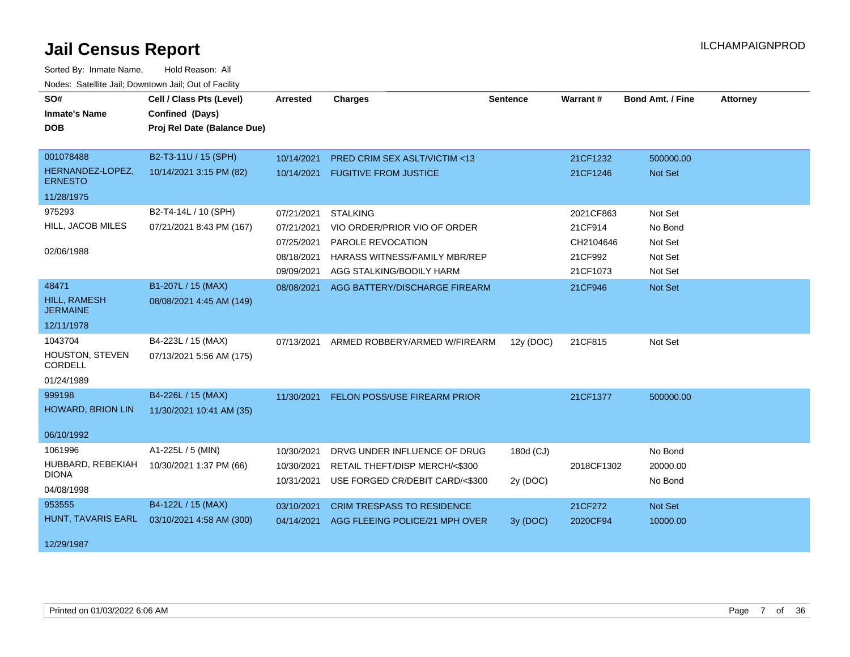| SO#<br><b>Inmate's Name</b><br><b>DOB</b>                     | Cell / Class Pts (Level)<br>Confined (Days)<br>Proj Rel Date (Balance Due) | <b>Arrested</b>                                                    | <b>Charges</b>                                                                                                                    | <b>Sentence</b>       | Warrant#                                                 | <b>Bond Amt. / Fine</b>                             | <b>Attorney</b> |
|---------------------------------------------------------------|----------------------------------------------------------------------------|--------------------------------------------------------------------|-----------------------------------------------------------------------------------------------------------------------------------|-----------------------|----------------------------------------------------------|-----------------------------------------------------|-----------------|
| 001078488<br>HERNANDEZ-LOPEZ,<br><b>ERNESTO</b><br>11/28/1975 | B2-T3-11U / 15 (SPH)<br>10/14/2021 3:15 PM (82)                            | 10/14/2021<br>10/14/2021                                           | <b>PRED CRIM SEX ASLT/VICTIM &lt;13</b><br><b>FUGITIVE FROM JUSTICE</b>                                                           |                       | 21CF1232<br>21CF1246                                     | 500000.00<br>Not Set                                |                 |
| 975293<br>HILL, JACOB MILES<br>02/06/1988                     | B2-T4-14L / 10 (SPH)<br>07/21/2021 8:43 PM (167)                           | 07/21/2021<br>07/21/2021<br>07/25/2021<br>08/18/2021<br>09/09/2021 | <b>STALKING</b><br>VIO ORDER/PRIOR VIO OF ORDER<br>PAROLE REVOCATION<br>HARASS WITNESS/FAMILY MBR/REP<br>AGG STALKING/BODILY HARM |                       | 2021CF863<br>21CF914<br>CH2104646<br>21CF992<br>21CF1073 | Not Set<br>No Bond<br>Not Set<br>Not Set<br>Not Set |                 |
| 48471<br><b>HILL, RAMESH</b><br><b>JERMAINE</b><br>12/11/1978 | B1-207L / 15 (MAX)<br>08/08/2021 4:45 AM (149)                             | 08/08/2021                                                         | AGG BATTERY/DISCHARGE FIREARM                                                                                                     |                       | 21CF946                                                  | Not Set                                             |                 |
| 1043704<br><b>HOUSTON, STEVEN</b><br>CORDELL<br>01/24/1989    | B4-223L / 15 (MAX)<br>07/13/2021 5:56 AM (175)                             | 07/13/2021                                                         | ARMED ROBBERY/ARMED W/FIREARM                                                                                                     | 12y (DOC)             | 21CF815                                                  | Not Set                                             |                 |
| 999198<br><b>HOWARD, BRION LIN</b><br>06/10/1992              | B4-226L / 15 (MAX)<br>11/30/2021 10:41 AM (35)                             | 11/30/2021                                                         | <b>FELON POSS/USE FIREARM PRIOR</b>                                                                                               |                       | 21CF1377                                                 | 500000.00                                           |                 |
| 1061996<br>HUBBARD, REBEKIAH<br><b>DIONA</b><br>04/08/1998    | A1-225L / 5 (MIN)<br>10/30/2021 1:37 PM (66)                               | 10/30/2021<br>10/30/2021<br>10/31/2021                             | DRVG UNDER INFLUENCE OF DRUG<br>RETAIL THEFT/DISP MERCH/<\$300<br>USE FORGED CR/DEBIT CARD/<\$300                                 | 180d (CJ)<br>2y (DOC) | 2018CF1302                                               | No Bond<br>20000.00<br>No Bond                      |                 |
| 953555<br>HUNT, TAVARIS EARL<br>12/29/1987                    | B4-122L / 15 (MAX)<br>03/10/2021 4:58 AM (300)                             | 03/10/2021<br>04/14/2021                                           | <b>CRIM TRESPASS TO RESIDENCE</b><br>AGG FLEEING POLICE/21 MPH OVER                                                               | 3y(DOC)               | 21CF272<br>2020CF94                                      | Not Set<br>10000.00                                 |                 |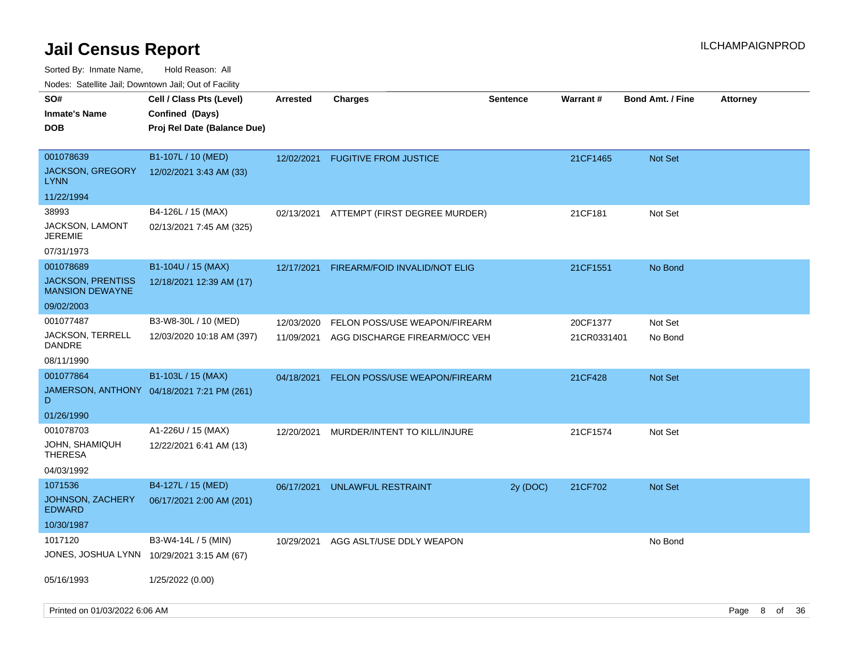Sorted By: Inmate Name, Hold Reason: All

Nodes: Satellite Jail; Downtown Jail; Out of Facility

| SO#                                                | Cell / Class Pts (Level)                   | <b>Arrested</b> | <b>Charges</b>                           | <b>Sentence</b> | <b>Warrant#</b> | <b>Bond Amt. / Fine</b> | <b>Attorney</b> |    |    |
|----------------------------------------------------|--------------------------------------------|-----------------|------------------------------------------|-----------------|-----------------|-------------------------|-----------------|----|----|
| <b>Inmate's Name</b>                               | Confined (Days)                            |                 |                                          |                 |                 |                         |                 |    |    |
| <b>DOB</b>                                         | Proj Rel Date (Balance Due)                |                 |                                          |                 |                 |                         |                 |    |    |
|                                                    |                                            |                 |                                          |                 |                 |                         |                 |    |    |
| 001078639                                          | B1-107L / 10 (MED)                         | 12/02/2021      | <b>FUGITIVE FROM JUSTICE</b>             |                 | 21CF1465        | <b>Not Set</b>          |                 |    |    |
| <b>JACKSON, GREGORY</b><br><b>LYNN</b>             | 12/02/2021 3:43 AM (33)                    |                 |                                          |                 |                 |                         |                 |    |    |
| 11/22/1994                                         |                                            |                 |                                          |                 |                 |                         |                 |    |    |
| 38993                                              | B4-126L / 15 (MAX)                         |                 | 02/13/2021 ATTEMPT (FIRST DEGREE MURDER) |                 | 21CF181         | Not Set                 |                 |    |    |
| <b>JACKSON, LAMONT</b><br><b>JEREMIE</b>           | 02/13/2021 7:45 AM (325)                   |                 |                                          |                 |                 |                         |                 |    |    |
| 07/31/1973                                         |                                            |                 |                                          |                 |                 |                         |                 |    |    |
| 001078689                                          | B1-104U / 15 (MAX)                         | 12/17/2021      | FIREARM/FOID INVALID/NOT ELIG            |                 | 21CF1551        | No Bond                 |                 |    |    |
| <b>JACKSON, PRENTISS</b><br><b>MANSION DEWAYNE</b> | 12/18/2021 12:39 AM (17)                   |                 |                                          |                 |                 |                         |                 |    |    |
| 09/02/2003                                         |                                            |                 |                                          |                 |                 |                         |                 |    |    |
| 001077487                                          | B3-W8-30L / 10 (MED)                       | 12/03/2020      | FELON POSS/USE WEAPON/FIREARM            |                 | 20CF1377        | Not Set                 |                 |    |    |
| <b>JACKSON, TERRELL</b><br><b>DANDRE</b>           | 12/03/2020 10:18 AM (397)                  | 11/09/2021      | AGG DISCHARGE FIREARM/OCC VEH            |                 | 21CR0331401     | No Bond                 |                 |    |    |
| 08/11/1990                                         |                                            |                 |                                          |                 |                 |                         |                 |    |    |
| 001077864                                          | B1-103L / 15 (MAX)                         | 04/18/2021      | FELON POSS/USE WEAPON/FIREARM            |                 | 21CF428         | <b>Not Set</b>          |                 |    |    |
| D                                                  | JAMERSON, ANTHONY 04/18/2021 7:21 PM (261) |                 |                                          |                 |                 |                         |                 |    |    |
| 01/26/1990                                         |                                            |                 |                                          |                 |                 |                         |                 |    |    |
| 001078703                                          | A1-226U / 15 (MAX)                         | 12/20/2021      | MURDER/INTENT TO KILL/INJURE             |                 | 21CF1574        | Not Set                 |                 |    |    |
| <b>JOHN, SHAMIQUH</b><br><b>THERESA</b>            | 12/22/2021 6:41 AM (13)                    |                 |                                          |                 |                 |                         |                 |    |    |
| 04/03/1992                                         |                                            |                 |                                          |                 |                 |                         |                 |    |    |
| 1071536                                            | B4-127L / 15 (MED)                         | 06/17/2021      | UNLAWFUL RESTRAINT                       | 2y (DOC)        | 21CF702         | <b>Not Set</b>          |                 |    |    |
| <b>JOHNSON, ZACHERY</b><br><b>EDWARD</b>           | 06/17/2021 2:00 AM (201)                   |                 |                                          |                 |                 |                         |                 |    |    |
| 10/30/1987                                         |                                            |                 |                                          |                 |                 |                         |                 |    |    |
| 1017120                                            | B3-W4-14L / 5 (MIN)                        | 10/29/2021      | AGG ASLT/USE DDLY WEAPON                 |                 |                 | No Bond                 |                 |    |    |
|                                                    | JONES, JOSHUA LYNN 10/29/2021 3:15 AM (67) |                 |                                          |                 |                 |                         |                 |    |    |
| 05/16/1993                                         | 1/25/2022 (0.00)                           |                 |                                          |                 |                 |                         |                 |    |    |
| Printed on 01/03/2022 6:06 AM                      |                                            |                 |                                          |                 |                 |                         | Page 8          | of | 36 |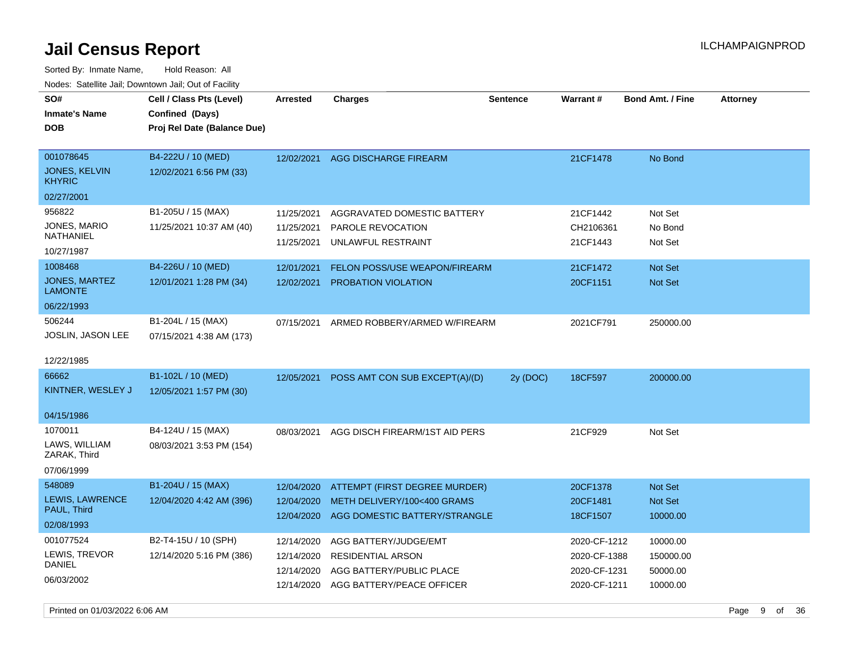Sorted By: Inmate Name, Hold Reason: All Nodes: Satellite Jail; Downtown Jail; Out of Facility

| SO#<br><b>Inmate's Name</b><br>DOB                                            | Cell / Class Pts (Level)<br>Confined (Days)<br>Proj Rel Date (Balance Due)                      | <b>Arrested</b>                                                    | <b>Charges</b>                                                                                                                 | <b>Sentence</b> | <b>Warrant#</b>                                              | <b>Bond Amt. / Fine</b>                                    | <b>Attorney</b> |
|-------------------------------------------------------------------------------|-------------------------------------------------------------------------------------------------|--------------------------------------------------------------------|--------------------------------------------------------------------------------------------------------------------------------|-----------------|--------------------------------------------------------------|------------------------------------------------------------|-----------------|
| 001078645<br><b>JONES, KELVIN</b><br><b>KHYRIC</b><br>02/27/2001              | B4-222U / 10 (MED)<br>12/02/2021 6:56 PM (33)                                                   | 12/02/2021                                                         | AGG DISCHARGE FIREARM                                                                                                          |                 | 21CF1478                                                     | No Bond                                                    |                 |
| 956822<br>JONES, MARIO<br>NATHANIEL<br>10/27/1987<br>1008468<br>JONES, MARTEZ | B1-205U / 15 (MAX)<br>11/25/2021 10:37 AM (40)<br>B4-226U / 10 (MED)<br>12/01/2021 1:28 PM (34) | 11/25/2021<br>11/25/2021<br>11/25/2021<br>12/01/2021<br>12/02/2021 | AGGRAVATED DOMESTIC BATTERY<br>PAROLE REVOCATION<br>UNLAWFUL RESTRAINT<br>FELON POSS/USE WEAPON/FIREARM<br>PROBATION VIOLATION |                 | 21CF1442<br>CH2106361<br>21CF1443<br>21CF1472<br>20CF1151    | Not Set<br>No Bond<br>Not Set<br>Not Set<br><b>Not Set</b> |                 |
| LAMONTE<br>06/22/1993<br>506244                                               | B1-204L / 15 (MAX)                                                                              | 07/15/2021                                                         | ARMED ROBBERY/ARMED W/FIREARM                                                                                                  |                 | 2021CF791                                                    | 250000.00                                                  |                 |
| JOSLIN, JASON LEE<br>12/22/1985                                               | 07/15/2021 4:38 AM (173)                                                                        |                                                                    |                                                                                                                                |                 |                                                              |                                                            |                 |
| 66662<br>KINTNER, WESLEY J                                                    | B1-102L / 10 (MED)<br>12/05/2021 1:57 PM (30)                                                   | 12/05/2021                                                         | POSS AMT CON SUB EXCEPT(A)/(D)                                                                                                 | 2y (DOC)        | 18CF597                                                      | 200000.00                                                  |                 |
| 04/15/1986<br>1070011<br>LAWS, WILLIAM<br>ZARAK, Third<br>07/06/1999          | B4-124U / 15 (MAX)<br>08/03/2021 3:53 PM (154)                                                  | 08/03/2021                                                         | AGG DISCH FIREARM/1ST AID PERS                                                                                                 |                 | 21CF929                                                      | Not Set                                                    |                 |
| 548089<br>LEWIS, LAWRENCE<br>PAUL, Third<br>02/08/1993                        | B1-204U / 15 (MAX)<br>12/04/2020 4:42 AM (396)                                                  | 12/04/2020<br>12/04/2020<br>12/04/2020                             | ATTEMPT (FIRST DEGREE MURDER)<br>METH DELIVERY/100<400 GRAMS<br>AGG DOMESTIC BATTERY/STRANGLE                                  |                 | 20CF1378<br>20CF1481<br>18CF1507                             | Not Set<br>Not Set<br>10000.00                             |                 |
| 001077524<br>LEWIS, TREVOR<br><b>DANIEL</b><br>06/03/2002                     | B2-T4-15U / 10 (SPH)<br>12/14/2020 5:16 PM (386)                                                | 12/14/2020<br>12/14/2020<br>12/14/2020<br>12/14/2020               | AGG BATTERY/JUDGE/EMT<br><b>RESIDENTIAL ARSON</b><br>AGG BATTERY/PUBLIC PLACE<br>AGG BATTERY/PEACE OFFICER                     |                 | 2020-CF-1212<br>2020-CF-1388<br>2020-CF-1231<br>2020-CF-1211 | 10000.00<br>150000.00<br>50000.00<br>10000.00              |                 |

Printed on 01/03/2022 6:06 AM Page 9 of 36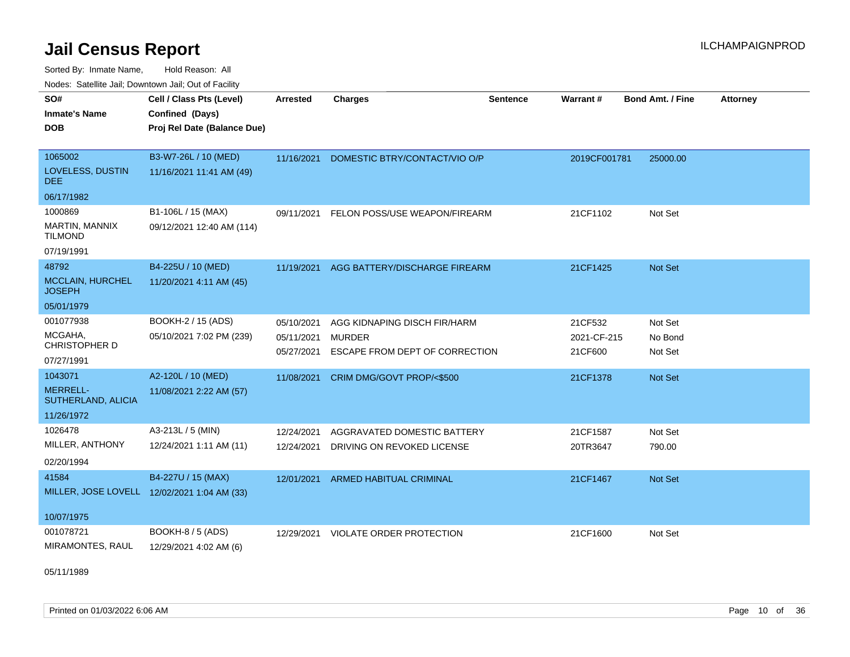Sorted By: Inmate Name, Hold Reason: All Nodes: Satellite Jail; Downtown Jail; Out of Facility

| <u>Houce.</u> Catellite ball, Downtown ball, Out of Fabilit |                                             |                          |                                                 |                 |                        |                         |                 |
|-------------------------------------------------------------|---------------------------------------------|--------------------------|-------------------------------------------------|-----------------|------------------------|-------------------------|-----------------|
| SO#                                                         | Cell / Class Pts (Level)                    | Arrested                 | <b>Charges</b>                                  | <b>Sentence</b> | Warrant#               | <b>Bond Amt. / Fine</b> | <b>Attorney</b> |
| <b>Inmate's Name</b>                                        | Confined (Days)                             |                          |                                                 |                 |                        |                         |                 |
| <b>DOB</b>                                                  | Proj Rel Date (Balance Due)                 |                          |                                                 |                 |                        |                         |                 |
|                                                             |                                             |                          |                                                 |                 |                        |                         |                 |
| 1065002                                                     | B3-W7-26L / 10 (MED)                        | 11/16/2021               | DOMESTIC BTRY/CONTACT/VIO O/P                   |                 | 2019CF001781           | 25000.00                |                 |
| LOVELESS, DUSTIN<br>DEE.                                    | 11/16/2021 11:41 AM (49)                    |                          |                                                 |                 |                        |                         |                 |
| 06/17/1982                                                  |                                             |                          |                                                 |                 |                        |                         |                 |
| 1000869                                                     | B1-106L / 15 (MAX)                          | 09/11/2021               | FELON POSS/USE WEAPON/FIREARM                   |                 | 21CF1102               | Not Set                 |                 |
| MARTIN, MANNIX<br><b>TILMOND</b>                            | 09/12/2021 12:40 AM (114)                   |                          |                                                 |                 |                        |                         |                 |
| 07/19/1991                                                  |                                             |                          |                                                 |                 |                        |                         |                 |
| 48792                                                       | B4-225U / 10 (MED)                          | 11/19/2021               | AGG BATTERY/DISCHARGE FIREARM                   |                 | 21CF1425               | Not Set                 |                 |
| <b>MCCLAIN, HURCHEL</b><br><b>JOSEPH</b>                    | 11/20/2021 4:11 AM (45)                     |                          |                                                 |                 |                        |                         |                 |
| 05/01/1979                                                  |                                             |                          |                                                 |                 |                        |                         |                 |
| 001077938                                                   | BOOKH-2 / 15 (ADS)                          | 05/10/2021               | AGG KIDNAPING DISCH FIR/HARM                    |                 | 21CF532                | Not Set                 |                 |
| MCGAHA,<br><b>CHRISTOPHER D</b>                             | 05/10/2021 7:02 PM (239)                    | 05/11/2021<br>05/27/2021 | <b>MURDER</b><br>ESCAPE FROM DEPT OF CORRECTION |                 | 2021-CF-215<br>21CF600 | No Bond<br>Not Set      |                 |
| 07/27/1991                                                  |                                             |                          |                                                 |                 |                        |                         |                 |
| 1043071                                                     | A2-120L / 10 (MED)                          | 11/08/2021               | CRIM DMG/GOVT PROP/<\$500                       |                 | 21CF1378               | Not Set                 |                 |
| <b>MERRELL-</b><br>SUTHERLAND, ALICIA                       | 11/08/2021 2:22 AM (57)                     |                          |                                                 |                 |                        |                         |                 |
| 11/26/1972                                                  |                                             |                          |                                                 |                 |                        |                         |                 |
| 1026478                                                     | A3-213L / 5 (MIN)                           | 12/24/2021               | AGGRAVATED DOMESTIC BATTERY                     |                 | 21CF1587               | Not Set                 |                 |
| MILLER, ANTHONY                                             | 12/24/2021 1:11 AM (11)                     | 12/24/2021               | DRIVING ON REVOKED LICENSE                      |                 | 20TR3647               | 790.00                  |                 |
| 02/20/1994                                                  |                                             |                          |                                                 |                 |                        |                         |                 |
| 41584                                                       | B4-227U / 15 (MAX)                          | 12/01/2021               | <b>ARMED HABITUAL CRIMINAL</b>                  |                 | 21CF1467               | <b>Not Set</b>          |                 |
|                                                             | MILLER, JOSE LOVELL 12/02/2021 1:04 AM (33) |                          |                                                 |                 |                        |                         |                 |
| 10/07/1975                                                  |                                             |                          |                                                 |                 |                        |                         |                 |
| 001078721                                                   | BOOKH-8 / 5 (ADS)                           | 12/29/2021               | <b>VIOLATE ORDER PROTECTION</b>                 |                 | 21CF1600               | Not Set                 |                 |
| MIRAMONTES, RAUL                                            | 12/29/2021 4:02 AM (6)                      |                          |                                                 |                 |                        |                         |                 |

05/11/1989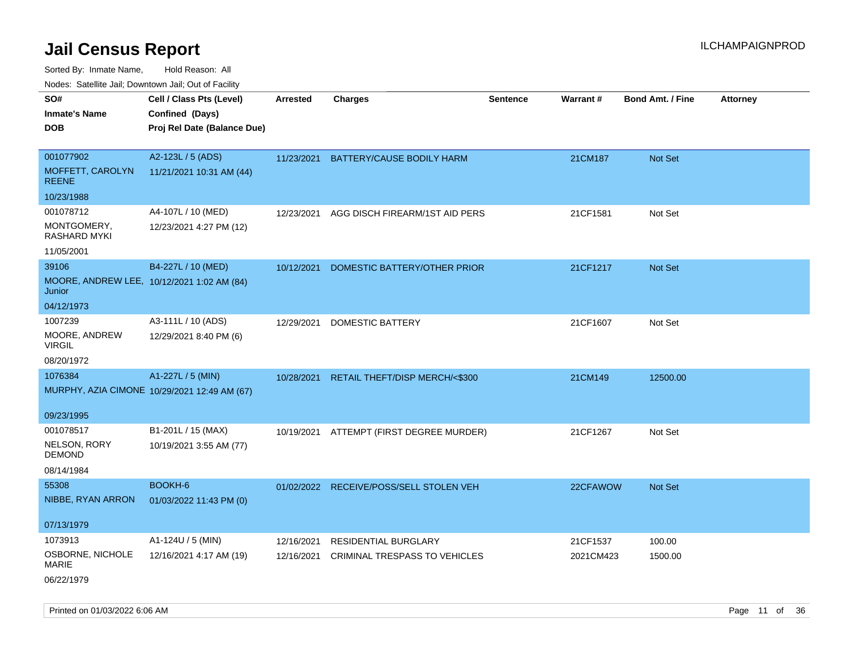Sorted By: Inmate Name, Hold Reason: All Nodes: Satellite Jail; Downtown Jail; Out of Facility

| roaco. Calcinio dan, Downtown dan, Oal or Fability |                                              |                 |                                           |                 |           |                         |                 |
|----------------------------------------------------|----------------------------------------------|-----------------|-------------------------------------------|-----------------|-----------|-------------------------|-----------------|
| SO#                                                | Cell / Class Pts (Level)                     | <b>Arrested</b> | <b>Charges</b>                            | <b>Sentence</b> | Warrant#  | <b>Bond Amt. / Fine</b> | <b>Attorney</b> |
| Inmate's Name                                      | Confined (Days)                              |                 |                                           |                 |           |                         |                 |
| DOB                                                | Proj Rel Date (Balance Due)                  |                 |                                           |                 |           |                         |                 |
|                                                    |                                              |                 |                                           |                 |           |                         |                 |
| 001077902                                          | A2-123L / 5 (ADS)                            |                 | 11/23/2021 BATTERY/CAUSE BODILY HARM      |                 | 21CM187   | Not Set                 |                 |
| MOFFETT, CAROLYN<br>REENE                          | 11/21/2021 10:31 AM (44)                     |                 |                                           |                 |           |                         |                 |
| 10/23/1988                                         |                                              |                 |                                           |                 |           |                         |                 |
| 001078712                                          | A4-107L / 10 (MED)                           | 12/23/2021      | AGG DISCH FIREARM/1ST AID PERS            |                 | 21CF1581  | Not Set                 |                 |
| MONTGOMERY,<br>RASHARD MYKI                        | 12/23/2021 4:27 PM (12)                      |                 |                                           |                 |           |                         |                 |
| 11/05/2001                                         |                                              |                 |                                           |                 |           |                         |                 |
| 39106                                              | B4-227L / 10 (MED)                           | 10/12/2021      | DOMESTIC BATTERY/OTHER PRIOR              |                 | 21CF1217  | <b>Not Set</b>          |                 |
| Junior                                             | MOORE, ANDREW LEE, 10/12/2021 1:02 AM (84)   |                 |                                           |                 |           |                         |                 |
| 04/12/1973                                         |                                              |                 |                                           |                 |           |                         |                 |
| 1007239                                            | A3-111L / 10 (ADS)                           | 12/29/2021      | DOMESTIC BATTERY                          |                 | 21CF1607  | Not Set                 |                 |
| MOORE, ANDREW<br>VIRGIL                            | 12/29/2021 8:40 PM (6)                       |                 |                                           |                 |           |                         |                 |
| 08/20/1972                                         |                                              |                 |                                           |                 |           |                         |                 |
| 1076384                                            | A1-227L / 5 (MIN)                            |                 | 10/28/2021 RETAIL THEFT/DISP MERCH/<\$300 |                 | 21CM149   | 12500.00                |                 |
|                                                    | MURPHY, AZIA CIMONE 10/29/2021 12:49 AM (67) |                 |                                           |                 |           |                         |                 |
| 09/23/1995                                         |                                              |                 |                                           |                 |           |                         |                 |
| 001078517                                          | B1-201L / 15 (MAX)                           | 10/19/2021      | ATTEMPT (FIRST DEGREE MURDER)             |                 | 21CF1267  | Not Set                 |                 |
| NELSON, RORY<br>DEMOND                             | 10/19/2021 3:55 AM (77)                      |                 |                                           |                 |           |                         |                 |
| 08/14/1984                                         |                                              |                 |                                           |                 |           |                         |                 |
| 55308                                              | BOOKH-6                                      |                 | 01/02/2022 RECEIVE/POSS/SELL STOLEN VEH   |                 | 22CFAWOW  | <b>Not Set</b>          |                 |
| NIBBE, RYAN ARRON                                  | 01/03/2022 11:43 PM (0)                      |                 |                                           |                 |           |                         |                 |
| 07/13/1979                                         |                                              |                 |                                           |                 |           |                         |                 |
| 1073913                                            | A1-124U / 5 (MIN)                            |                 | <b>RESIDENTIAL BURGLARY</b>               |                 |           | 100.00                  |                 |
| OSBORNE, NICHOLE                                   |                                              | 12/16/2021      |                                           |                 | 21CF1537  |                         |                 |
| MARIE                                              | 12/16/2021 4:17 AM (19)                      | 12/16/2021      | CRIMINAL TRESPASS TO VEHICLES             |                 | 2021CM423 | 1500.00                 |                 |
| 06/22/1979                                         |                                              |                 |                                           |                 |           |                         |                 |

Printed on 01/03/2022 6:06 AM Page 11 of 36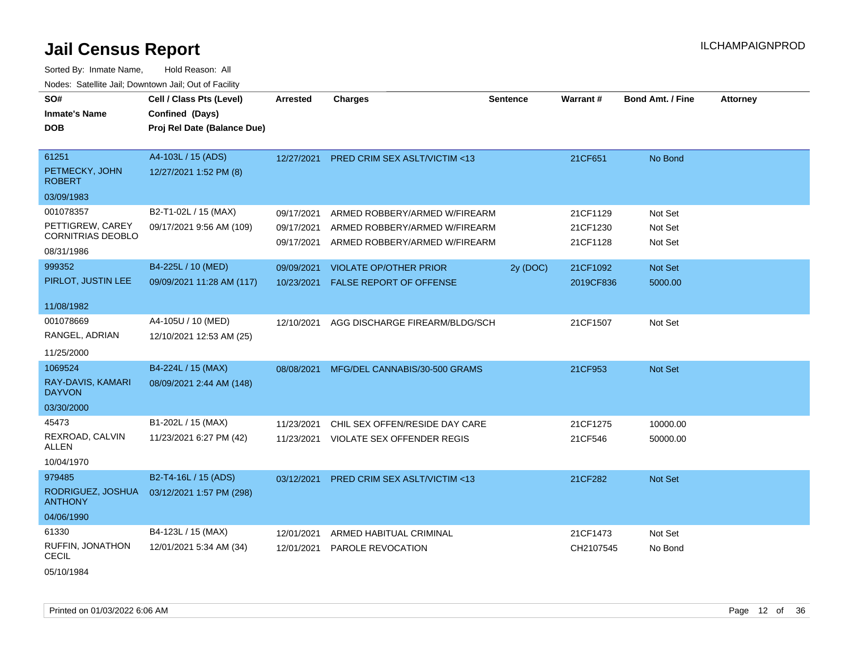Sorted By: Inmate Name, Hold Reason: All Nodes: Satellite Jail; Downtown Jail; Out of Facility

| SO#                                 | Cell / Class Pts (Level)    | <b>Arrested</b> | <b>Charges</b>                          | <b>Sentence</b> | Warrant#  | <b>Bond Amt. / Fine</b> | <b>Attorney</b> |
|-------------------------------------|-----------------------------|-----------------|-----------------------------------------|-----------------|-----------|-------------------------|-----------------|
| <b>Inmate's Name</b>                |                             |                 |                                         |                 |           |                         |                 |
|                                     | Confined (Days)             |                 |                                         |                 |           |                         |                 |
| <b>DOB</b>                          | Proj Rel Date (Balance Due) |                 |                                         |                 |           |                         |                 |
|                                     |                             |                 |                                         |                 |           |                         |                 |
| 61251                               | A4-103L / 15 (ADS)          | 12/27/2021      | <b>PRED CRIM SEX ASLT/VICTIM &lt;13</b> |                 | 21CF651   | No Bond                 |                 |
| PETMECKY, JOHN<br><b>ROBERT</b>     | 12/27/2021 1:52 PM (8)      |                 |                                         |                 |           |                         |                 |
| 03/09/1983                          |                             |                 |                                         |                 |           |                         |                 |
| 001078357                           | B2-T1-02L / 15 (MAX)        | 09/17/2021      | ARMED ROBBERY/ARMED W/FIREARM           |                 | 21CF1129  | Not Set                 |                 |
| PETTIGREW, CAREY                    | 09/17/2021 9:56 AM (109)    | 09/17/2021      | ARMED ROBBERY/ARMED W/FIREARM           |                 | 21CF1230  | Not Set                 |                 |
| <b>CORNITRIAS DEOBLO</b>            |                             | 09/17/2021      | ARMED ROBBERY/ARMED W/FIREARM           |                 | 21CF1128  | Not Set                 |                 |
| 08/31/1986                          |                             |                 |                                         |                 |           |                         |                 |
| 999352                              | B4-225L / 10 (MED)          | 09/09/2021      | <b>VIOLATE OP/OTHER PRIOR</b>           | 2y (DOC)        | 21CF1092  | Not Set                 |                 |
| PIRLOT, JUSTIN LEE                  | 09/09/2021 11:28 AM (117)   | 10/23/2021      | <b>FALSE REPORT OF OFFENSE</b>          |                 | 2019CF836 | 5000.00                 |                 |
|                                     |                             |                 |                                         |                 |           |                         |                 |
| 11/08/1982                          |                             |                 |                                         |                 |           |                         |                 |
| 001078669                           | A4-105U / 10 (MED)          | 12/10/2021      | AGG DISCHARGE FIREARM/BLDG/SCH          |                 | 21CF1507  | Not Set                 |                 |
| RANGEL, ADRIAN                      | 12/10/2021 12:53 AM (25)    |                 |                                         |                 |           |                         |                 |
| 11/25/2000                          |                             |                 |                                         |                 |           |                         |                 |
| 1069524                             | B4-224L / 15 (MAX)          | 08/08/2021      | MFG/DEL CANNABIS/30-500 GRAMS           |                 | 21CF953   | Not Set                 |                 |
| RAY-DAVIS, KAMARI<br><b>DAYVON</b>  | 08/09/2021 2:44 AM (148)    |                 |                                         |                 |           |                         |                 |
| 03/30/2000                          |                             |                 |                                         |                 |           |                         |                 |
| 45473                               | B1-202L / 15 (MAX)          | 11/23/2021      | CHIL SEX OFFEN/RESIDE DAY CARE          |                 | 21CF1275  | 10000.00                |                 |
| REXROAD, CALVIN                     | 11/23/2021 6:27 PM (42)     | 11/23/2021      | <b>VIOLATE SEX OFFENDER REGIS</b>       |                 | 21CF546   | 50000.00                |                 |
| ALLEN                               |                             |                 |                                         |                 |           |                         |                 |
| 10/04/1970                          |                             |                 |                                         |                 |           |                         |                 |
| 979485                              | B2-T4-16L / 15 (ADS)        | 03/12/2021      | <b>PRED CRIM SEX ASLT/VICTIM &lt;13</b> |                 | 21CF282   | <b>Not Set</b>          |                 |
| RODRIGUEZ, JOSHUA<br><b>ANTHONY</b> | 03/12/2021 1:57 PM (298)    |                 |                                         |                 |           |                         |                 |
| 04/06/1990                          |                             |                 |                                         |                 |           |                         |                 |
| 61330                               | B4-123L / 15 (MAX)          | 12/01/2021      | ARMED HABITUAL CRIMINAL                 |                 | 21CF1473  | Not Set                 |                 |
| RUFFIN, JONATHON                    | 12/01/2021 5:34 AM (34)     | 12/01/2021      | PAROLE REVOCATION                       |                 | CH2107545 | No Bond                 |                 |
| <b>CECIL</b>                        |                             |                 |                                         |                 |           |                         |                 |

05/10/1984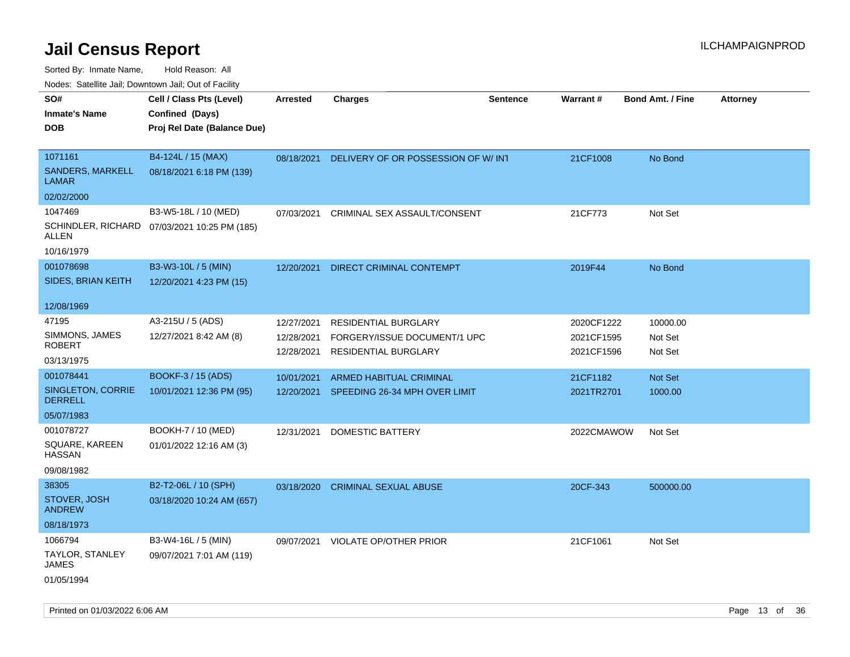Sorted By: Inmate Name, Hold Reason: All

Nodes: Satellite Jail; Downtown Jail; Out of Facility

| roaco. Calcinio dan, Downtown dan, Out or Fability |                                              |            |                                     |                 |            |                         |                 |
|----------------------------------------------------|----------------------------------------------|------------|-------------------------------------|-----------------|------------|-------------------------|-----------------|
| SO#                                                | Cell / Class Pts (Level)                     | Arrested   | <b>Charges</b>                      | <b>Sentence</b> | Warrant#   | <b>Bond Amt. / Fine</b> | <b>Attorney</b> |
| <b>Inmate's Name</b>                               | Confined (Days)                              |            |                                     |                 |            |                         |                 |
| <b>DOB</b>                                         | Proj Rel Date (Balance Due)                  |            |                                     |                 |            |                         |                 |
|                                                    |                                              |            |                                     |                 |            |                         |                 |
| 1071161                                            | B4-124L / 15 (MAX)                           | 08/18/2021 | DELIVERY OF OR POSSESSION OF W/ INT |                 | 21CF1008   | No Bond                 |                 |
| SANDERS, MARKELL<br>LAMAR                          | 08/18/2021 6:18 PM (139)                     |            |                                     |                 |            |                         |                 |
| 02/02/2000                                         |                                              |            |                                     |                 |            |                         |                 |
| 1047469                                            | B3-W5-18L / 10 (MED)                         | 07/03/2021 | CRIMINAL SEX ASSAULT/CONSENT        |                 | 21CF773    | Not Set                 |                 |
| <b>ALLEN</b>                                       | SCHINDLER, RICHARD 07/03/2021 10:25 PM (185) |            |                                     |                 |            |                         |                 |
| 10/16/1979                                         |                                              |            |                                     |                 |            |                         |                 |
| 001078698                                          | B3-W3-10L / 5 (MIN)                          | 12/20/2021 | DIRECT CRIMINAL CONTEMPT            |                 | 2019F44    | No Bond                 |                 |
| <b>SIDES, BRIAN KEITH</b>                          | 12/20/2021 4:23 PM (15)                      |            |                                     |                 |            |                         |                 |
|                                                    |                                              |            |                                     |                 |            |                         |                 |
| 12/08/1969                                         |                                              |            |                                     |                 |            |                         |                 |
| 47195                                              | A3-215U / 5 (ADS)                            | 12/27/2021 | <b>RESIDENTIAL BURGLARY</b>         |                 | 2020CF1222 | 10000.00                |                 |
| SIMMONS, JAMES                                     | 12/27/2021 8:42 AM (8)                       | 12/28/2021 | FORGERY/ISSUE DOCUMENT/1 UPC        |                 | 2021CF1595 | Not Set                 |                 |
| <b>ROBERT</b>                                      |                                              | 12/28/2021 | RESIDENTIAL BURGLARY                |                 | 2021CF1596 | Not Set                 |                 |
| 03/13/1975                                         |                                              |            |                                     |                 |            |                         |                 |
| 001078441                                          | BOOKF-3 / 15 (ADS)                           | 10/01/2021 | <b>ARMED HABITUAL CRIMINAL</b>      |                 | 21CF1182   | Not Set                 |                 |
| SINGLETON, CORRIE<br><b>DERRELL</b>                | 10/01/2021 12:36 PM (95)                     | 12/20/2021 | SPEEDING 26-34 MPH OVER LIMIT       |                 | 2021TR2701 | 1000.00                 |                 |
| 05/07/1983                                         |                                              |            |                                     |                 |            |                         |                 |
| 001078727                                          | BOOKH-7 / 10 (MED)                           | 12/31/2021 | DOMESTIC BATTERY                    |                 | 2022CMAWOW | Not Set                 |                 |
| SQUARE, KAREEN<br><b>HASSAN</b>                    | 01/01/2022 12:16 AM (3)                      |            |                                     |                 |            |                         |                 |
| 09/08/1982                                         |                                              |            |                                     |                 |            |                         |                 |
| 38305                                              | B2-T2-06L / 10 (SPH)                         | 03/18/2020 | <b>CRIMINAL SEXUAL ABUSE</b>        |                 | 20CF-343   | 500000.00               |                 |
| STOVER, JOSH<br><b>ANDREW</b>                      | 03/18/2020 10:24 AM (657)                    |            |                                     |                 |            |                         |                 |
| 08/18/1973                                         |                                              |            |                                     |                 |            |                         |                 |
| 1066794                                            | B3-W4-16L / 5 (MIN)                          | 09/07/2021 | <b>VIOLATE OP/OTHER PRIOR</b>       |                 | 21CF1061   | Not Set                 |                 |
| TAYLOR, STANLEY<br><b>JAMES</b>                    | 09/07/2021 7:01 AM (119)                     |            |                                     |                 |            |                         |                 |
| 01/05/1994                                         |                                              |            |                                     |                 |            |                         |                 |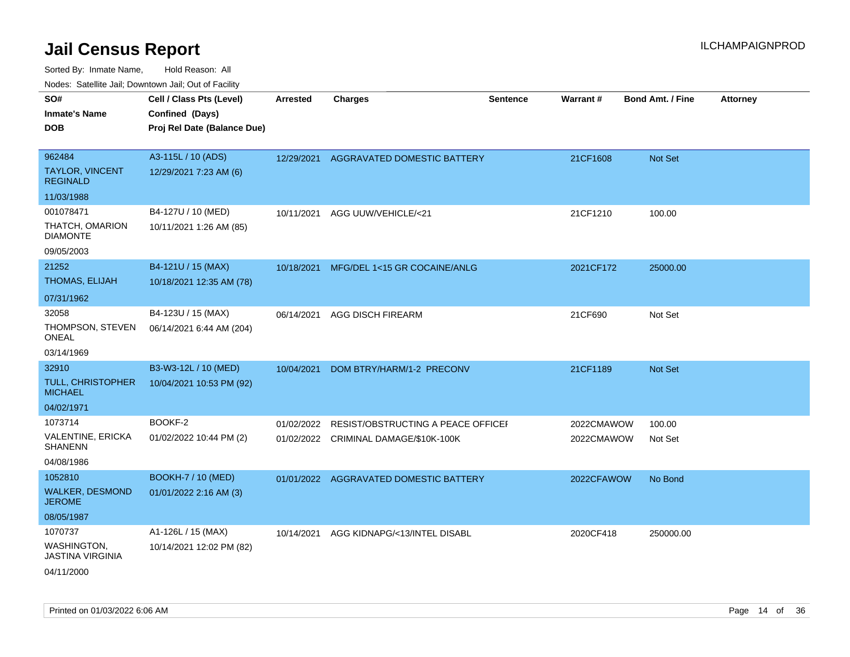| roaco. Catolino dall, Downtown dall, Out of Fability |                             |                 |                                         |                 |            |                         |                 |
|------------------------------------------------------|-----------------------------|-----------------|-----------------------------------------|-----------------|------------|-------------------------|-----------------|
| SO#                                                  | Cell / Class Pts (Level)    | <b>Arrested</b> | <b>Charges</b>                          | <b>Sentence</b> | Warrant#   | <b>Bond Amt. / Fine</b> | <b>Attorney</b> |
| <b>Inmate's Name</b>                                 | Confined (Days)             |                 |                                         |                 |            |                         |                 |
| <b>DOB</b>                                           | Proj Rel Date (Balance Due) |                 |                                         |                 |            |                         |                 |
|                                                      |                             |                 |                                         |                 |            |                         |                 |
| 962484                                               | A3-115L / 10 (ADS)          | 12/29/2021      | AGGRAVATED DOMESTIC BATTERY             |                 | 21CF1608   | Not Set                 |                 |
| <b>TAYLOR, VINCENT</b><br><b>REGINALD</b>            | 12/29/2021 7:23 AM (6)      |                 |                                         |                 |            |                         |                 |
| 11/03/1988                                           |                             |                 |                                         |                 |            |                         |                 |
| 001078471                                            | B4-127U / 10 (MED)          | 10/11/2021      | AGG UUW/VEHICLE/<21                     |                 | 21CF1210   | 100.00                  |                 |
| THATCH, OMARION<br><b>DIAMONTE</b>                   | 10/11/2021 1:26 AM (85)     |                 |                                         |                 |            |                         |                 |
| 09/05/2003                                           |                             |                 |                                         |                 |            |                         |                 |
| 21252                                                | B4-121U / 15 (MAX)          |                 | 10/18/2021 MFG/DEL 1<15 GR COCAINE/ANLG |                 | 2021CF172  | 25000.00                |                 |
| THOMAS, ELIJAH                                       | 10/18/2021 12:35 AM (78)    |                 |                                         |                 |            |                         |                 |
| 07/31/1962                                           |                             |                 |                                         |                 |            |                         |                 |
| 32058                                                | B4-123U / 15 (MAX)          | 06/14/2021      | <b>AGG DISCH FIREARM</b>                |                 | 21CF690    | Not Set                 |                 |
| THOMPSON, STEVEN<br><b>ONEAL</b>                     | 06/14/2021 6:44 AM (204)    |                 |                                         |                 |            |                         |                 |
| 03/14/1969                                           |                             |                 |                                         |                 |            |                         |                 |
| 32910                                                | B3-W3-12L / 10 (MED)        | 10/04/2021      | DOM BTRY/HARM/1-2 PRECONV               |                 | 21CF1189   | <b>Not Set</b>          |                 |
| TULL, CHRISTOPHER<br><b>MICHAEL</b>                  | 10/04/2021 10:53 PM (92)    |                 |                                         |                 |            |                         |                 |
| 04/02/1971                                           |                             |                 |                                         |                 |            |                         |                 |
| 1073714                                              | BOOKF-2                     | 01/02/2022      | RESIST/OBSTRUCTING A PEACE OFFICEI      |                 | 2022CMAWOW | 100.00                  |                 |
| VALENTINE, ERICKA<br><b>SHANENN</b>                  | 01/02/2022 10:44 PM (2)     |                 | 01/02/2022 CRIMINAL DAMAGE/\$10K-100K   |                 | 2022CMAWOW | Not Set                 |                 |
| 04/08/1986                                           |                             |                 |                                         |                 |            |                         |                 |
| 1052810                                              | BOOKH-7 / 10 (MED)          |                 | 01/01/2022 AGGRAVATED DOMESTIC BATTERY  |                 | 2022CFAWOW | No Bond                 |                 |
| <b>WALKER, DESMOND</b><br><b>JEROME</b>              | 01/01/2022 2:16 AM (3)      |                 |                                         |                 |            |                         |                 |
| 08/05/1987                                           |                             |                 |                                         |                 |            |                         |                 |
| 1070737                                              | A1-126L / 15 (MAX)          | 10/14/2021      | AGG KIDNAPG/<13/INTEL DISABL            |                 | 2020CF418  | 250000.00               |                 |
| WASHINGTON,<br><b>JASTINA VIRGINIA</b>               | 10/14/2021 12:02 PM (82)    |                 |                                         |                 |            |                         |                 |
| 04/11/2000                                           |                             |                 |                                         |                 |            |                         |                 |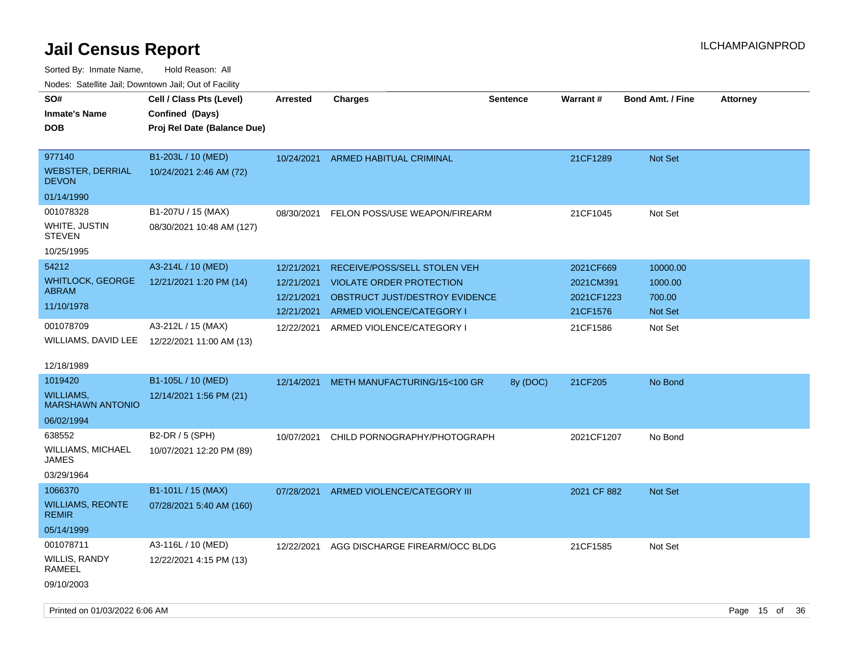| ivodes. Satellite Jali, Downtown Jali, Out of Facility |                             |                 |                                 |                 |             |                         |                 |     |
|--------------------------------------------------------|-----------------------------|-----------------|---------------------------------|-----------------|-------------|-------------------------|-----------------|-----|
| SO#                                                    | Cell / Class Pts (Level)    | <b>Arrested</b> | <b>Charges</b>                  | <b>Sentence</b> | Warrant#    | <b>Bond Amt. / Fine</b> | <b>Attorney</b> |     |
| Inmate's Name                                          | Confined (Days)             |                 |                                 |                 |             |                         |                 |     |
| <b>DOB</b>                                             | Proj Rel Date (Balance Due) |                 |                                 |                 |             |                         |                 |     |
|                                                        |                             |                 |                                 |                 |             |                         |                 |     |
| 977140                                                 | B1-203L / 10 (MED)          | 10/24/2021      | ARMED HABITUAL CRIMINAL         |                 | 21CF1289    | <b>Not Set</b>          |                 |     |
| WEBSTER, DERRIAL<br><b>DEVON</b>                       | 10/24/2021 2:46 AM (72)     |                 |                                 |                 |             |                         |                 |     |
| 01/14/1990                                             |                             |                 |                                 |                 |             |                         |                 |     |
| 001078328                                              | B1-207U / 15 (MAX)          | 08/30/2021      | FELON POSS/USE WEAPON/FIREARM   |                 | 21CF1045    | Not Set                 |                 |     |
| WHITE, JUSTIN<br>STEVEN                                | 08/30/2021 10:48 AM (127)   |                 |                                 |                 |             |                         |                 |     |
| 10/25/1995                                             |                             |                 |                                 |                 |             |                         |                 |     |
| 54212                                                  | A3-214L / 10 (MED)          | 12/21/2021      | RECEIVE/POSS/SELL STOLEN VEH    |                 | 2021CF669   | 10000.00                |                 |     |
| WHITLOCK, GEORGE                                       | 12/21/2021 1:20 PM (14)     | 12/21/2021      | <b>VIOLATE ORDER PROTECTION</b> |                 | 2021CM391   | 1000.00                 |                 |     |
| ABRAM                                                  |                             | 12/21/2021      | OBSTRUCT JUST/DESTROY EVIDENCE  |                 | 2021CF1223  | 700.00                  |                 |     |
| 11/10/1978                                             |                             | 12/21/2021      | ARMED VIOLENCE/CATEGORY I       |                 | 21CF1576    | <b>Not Set</b>          |                 |     |
| 001078709                                              | A3-212L / 15 (MAX)          | 12/22/2021      | ARMED VIOLENCE/CATEGORY I       |                 | 21CF1586    | Not Set                 |                 |     |
| WILLIAMS, DAVID LEE                                    | 12/22/2021 11:00 AM (13)    |                 |                                 |                 |             |                         |                 |     |
|                                                        |                             |                 |                                 |                 |             |                         |                 |     |
| 12/18/1989                                             |                             |                 |                                 |                 |             |                         |                 |     |
| 1019420                                                | B1-105L / 10 (MED)          | 12/14/2021      | METH MANUFACTURING/15<100 GR    | 8y (DOC)        | 21CF205     | No Bond                 |                 |     |
| WILLIAMS.<br><b>MARSHAWN ANTONIO</b>                   | 12/14/2021 1:56 PM (21)     |                 |                                 |                 |             |                         |                 |     |
| 06/02/1994                                             |                             |                 |                                 |                 |             |                         |                 |     |
| 638552                                                 | B2-DR / 5 (SPH)             | 10/07/2021      | CHILD PORNOGRAPHY/PHOTOGRAPH    |                 | 2021CF1207  | No Bond                 |                 |     |
| WILLIAMS, MICHAEL<br>JAMES                             | 10/07/2021 12:20 PM (89)    |                 |                                 |                 |             |                         |                 |     |
| 03/29/1964                                             |                             |                 |                                 |                 |             |                         |                 |     |
| 1066370                                                | B1-101L / 15 (MAX)          | 07/28/2021      | ARMED VIOLENCE/CATEGORY III     |                 | 2021 CF 882 | <b>Not Set</b>          |                 |     |
| <b>WILLIAMS, REONTE</b><br><b>REMIR</b>                | 07/28/2021 5:40 AM (160)    |                 |                                 |                 |             |                         |                 |     |
| 05/14/1999                                             |                             |                 |                                 |                 |             |                         |                 |     |
| 001078711                                              | A3-116L / 10 (MED)          | 12/22/2021      | AGG DISCHARGE FIREARM/OCC BLDG  |                 | 21CF1585    | Not Set                 |                 |     |
| WILLIS, RANDY<br>RAMEEL                                | 12/22/2021 4:15 PM (13)     |                 |                                 |                 |             |                         |                 |     |
| 09/10/2003                                             |                             |                 |                                 |                 |             |                         |                 |     |
|                                                        |                             |                 |                                 |                 |             |                         |                 |     |
| Printed on 01/03/2022 6:06 AM                          |                             |                 |                                 |                 |             |                         | Page 15 of      | -36 |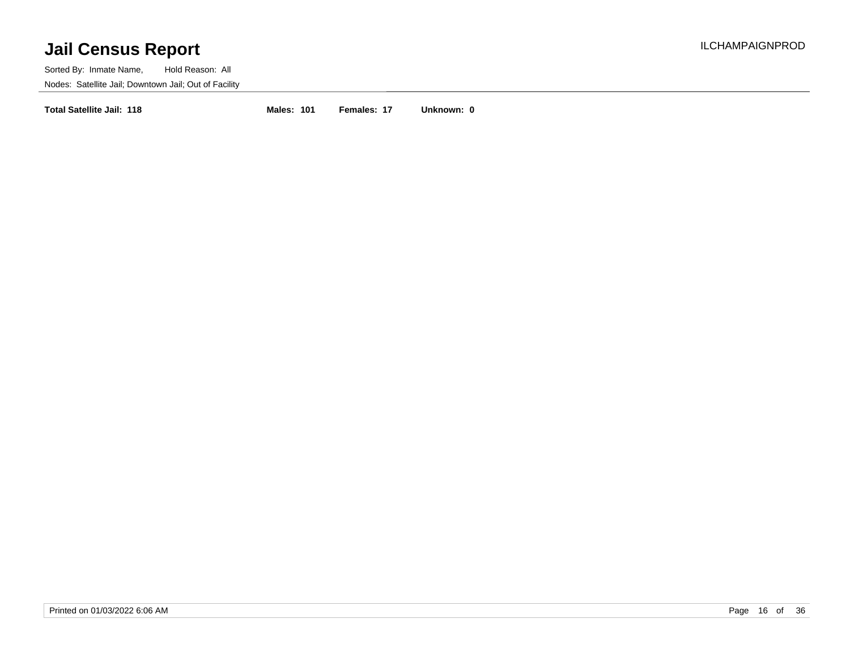Sorted By: Inmate Name, Hold Reason: All Nodes: Satellite Jail; Downtown Jail; Out of Facility

**Total Satellite Jail: 118 Males: 101 Females: 17 Unknown: 0**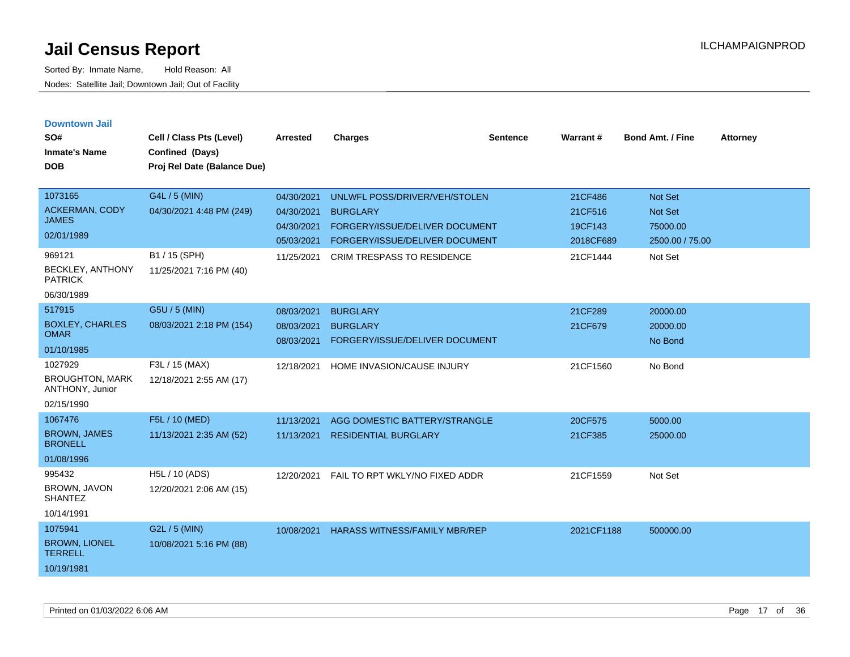| <b>Downtown Jail</b><br>SO#<br><b>Inmate's Name</b><br><b>DOB</b>                            | Cell / Class Pts (Level)<br>Confined (Days)<br>Proj Rel Date (Balance Due)            | <b>Arrested</b>                                                    | <b>Charges</b>                                                                                                                                            | <b>Sentence</b> | <b>Warrant#</b>                                        | <b>Bond Amt. / Fine</b>                                      | <b>Attorney</b> |
|----------------------------------------------------------------------------------------------|---------------------------------------------------------------------------------------|--------------------------------------------------------------------|-----------------------------------------------------------------------------------------------------------------------------------------------------------|-----------------|--------------------------------------------------------|--------------------------------------------------------------|-----------------|
| 1073165<br>ACKERMAN, CODY<br><b>JAMES</b><br>02/01/1989<br>969121<br><b>BECKLEY, ANTHONY</b> | G4L / 5 (MIN)<br>04/30/2021 4:48 PM (249)<br>B1 / 15 (SPH)<br>11/25/2021 7:16 PM (40) | 04/30/2021<br>04/30/2021<br>04/30/2021<br>05/03/2021<br>11/25/2021 | UNLWFL POSS/DRIVER/VEH/STOLEN<br><b>BURGLARY</b><br>FORGERY/ISSUE/DELIVER DOCUMENT<br>FORGERY/ISSUE/DELIVER DOCUMENT<br><b>CRIM TRESPASS TO RESIDENCE</b> |                 | 21CF486<br>21CF516<br>19CF143<br>2018CF689<br>21CF1444 | Not Set<br>Not Set<br>75000.00<br>2500.00 / 75.00<br>Not Set |                 |
| <b>PATRICK</b><br>06/30/1989<br>517915                                                       | G5U / 5 (MIN)                                                                         |                                                                    |                                                                                                                                                           |                 |                                                        |                                                              |                 |
| <b>BOXLEY, CHARLES</b><br><b>OMAR</b><br>01/10/1985                                          | 08/03/2021 2:18 PM (154)                                                              | 08/03/2021<br>08/03/2021<br>08/03/2021                             | <b>BURGLARY</b><br><b>BURGLARY</b><br>FORGERY/ISSUE/DELIVER DOCUMENT                                                                                      |                 | 21CF289<br>21CF679                                     | 20000.00<br>20000.00<br>No Bond                              |                 |
| 1027929<br><b>BROUGHTON, MARK</b><br>ANTHONY, Junior<br>02/15/1990                           | F3L / 15 (MAX)<br>12/18/2021 2:55 AM (17)                                             | 12/18/2021                                                         | HOME INVASION/CAUSE INJURY                                                                                                                                |                 | 21CF1560                                               | No Bond                                                      |                 |
| 1067476<br><b>BROWN, JAMES</b><br><b>BRONELL</b><br>01/08/1996                               | F5L / 10 (MED)<br>11/13/2021 2:35 AM (52)                                             | 11/13/2021<br>11/13/2021                                           | AGG DOMESTIC BATTERY/STRANGLE<br><b>RESIDENTIAL BURGLARY</b>                                                                                              |                 | 20CF575<br>21CF385                                     | 5000.00<br>25000.00                                          |                 |
| 995432<br><b>BROWN, JAVON</b><br><b>SHANTEZ</b><br>10/14/1991                                | H5L / 10 (ADS)<br>12/20/2021 2:06 AM (15)                                             | 12/20/2021                                                         | FAIL TO RPT WKLY/NO FIXED ADDR                                                                                                                            |                 | 21CF1559                                               | Not Set                                                      |                 |
| 1075941<br><b>BROWN, LIONEL</b><br><b>TERRELL</b><br>10/19/1981                              | G2L / 5 (MIN)<br>10/08/2021 5:16 PM (88)                                              | 10/08/2021                                                         | <b>HARASS WITNESS/FAMILY MBR/REP</b>                                                                                                                      |                 | 2021CF1188                                             | 500000.00                                                    |                 |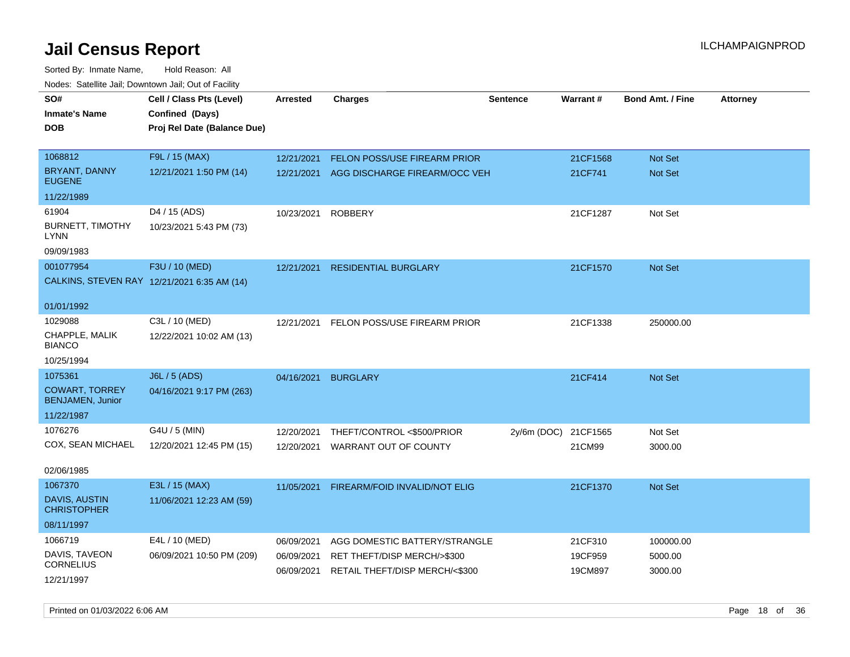Sorted By: Inmate Name, Hold Reason: All Nodes: Satellite Jail; Downtown Jail; Out of Facility

| SO#                                              | Cell / Class Pts (Level)                    | <b>Arrested</b> | <b>Charges</b>                           | <b>Sentence</b> | <b>Warrant#</b> | <b>Bond Amt. / Fine</b> | <b>Attorney</b> |
|--------------------------------------------------|---------------------------------------------|-----------------|------------------------------------------|-----------------|-----------------|-------------------------|-----------------|
| <b>Inmate's Name</b>                             | Confined (Days)                             |                 |                                          |                 |                 |                         |                 |
| <b>DOB</b>                                       | Proj Rel Date (Balance Due)                 |                 |                                          |                 |                 |                         |                 |
|                                                  |                                             |                 |                                          |                 |                 |                         |                 |
| 1068812                                          | F9L / 15 (MAX)                              | 12/21/2021      | FELON POSS/USE FIREARM PRIOR             |                 | 21CF1568        | Not Set                 |                 |
| <b>BRYANT, DANNY</b><br><b>EUGENE</b>            | 12/21/2021 1:50 PM (14)                     |                 | 12/21/2021 AGG DISCHARGE FIREARM/OCC VEH |                 | 21CF741         | Not Set                 |                 |
| 11/22/1989                                       |                                             |                 |                                          |                 |                 |                         |                 |
| 61904                                            | D4 / 15 (ADS)                               | 10/23/2021      | <b>ROBBERY</b>                           |                 | 21CF1287        | Not Set                 |                 |
| <b>BURNETT, TIMOTHY</b><br><b>LYNN</b>           | 10/23/2021 5:43 PM (73)                     |                 |                                          |                 |                 |                         |                 |
| 09/09/1983                                       |                                             |                 |                                          |                 |                 |                         |                 |
| 001077954                                        | F3U / 10 (MED)                              | 12/21/2021      | <b>RESIDENTIAL BURGLARY</b>              |                 | 21CF1570        | Not Set                 |                 |
|                                                  | CALKINS, STEVEN RAY 12/21/2021 6:35 AM (14) |                 |                                          |                 |                 |                         |                 |
| 01/01/1992                                       |                                             |                 |                                          |                 |                 |                         |                 |
| 1029088                                          | C3L / 10 (MED)                              |                 | 12/21/2021 FELON POSS/USE FIREARM PRIOR  |                 | 21CF1338        | 250000.00               |                 |
| CHAPPLE, MALIK<br><b>BIANCO</b>                  | 12/22/2021 10:02 AM (13)                    |                 |                                          |                 |                 |                         |                 |
| 10/25/1994                                       |                                             |                 |                                          |                 |                 |                         |                 |
| 1075361                                          | J6L / 5 (ADS)                               | 04/16/2021      | <b>BURGLARY</b>                          |                 | 21CF414         | Not Set                 |                 |
| <b>COWART, TORREY</b><br><b>BENJAMEN, Junior</b> | 04/16/2021 9:17 PM (263)                    |                 |                                          |                 |                 |                         |                 |
| 11/22/1987                                       |                                             |                 |                                          |                 |                 |                         |                 |
| 1076276                                          | G4U / 5 (MIN)                               | 12/20/2021      | THEFT/CONTROL <\$500/PRIOR               | $2y/6m$ (DOC)   | 21CF1565        | Not Set                 |                 |
| COX, SEAN MICHAEL                                | 12/20/2021 12:45 PM (15)                    | 12/20/2021      | WARRANT OUT OF COUNTY                    |                 | 21CM99          | 3000.00                 |                 |
| 02/06/1985                                       |                                             |                 |                                          |                 |                 |                         |                 |
| 1067370                                          | E3L / 15 (MAX)                              | 11/05/2021      | FIREARM/FOID INVALID/NOT ELIG            |                 | 21CF1370        | Not Set                 |                 |
| <b>DAVIS, AUSTIN</b><br><b>CHRISTOPHER</b>       | 11/06/2021 12:23 AM (59)                    |                 |                                          |                 |                 |                         |                 |
| 08/11/1997                                       |                                             |                 |                                          |                 |                 |                         |                 |
| 1066719                                          | E4L / 10 (MED)                              | 06/09/2021      | AGG DOMESTIC BATTERY/STRANGLE            |                 | 21CF310         | 100000.00               |                 |
| DAVIS, TAVEON                                    | 06/09/2021 10:50 PM (209)                   | 06/09/2021      | RET THEFT/DISP MERCH/>\$300              |                 | 19CF959         | 5000.00                 |                 |
| <b>CORNELIUS</b>                                 |                                             | 06/09/2021      | RETAIL THEFT/DISP MERCH/<\$300           |                 | 19CM897         | 3000.00                 |                 |
| 12/21/1997                                       |                                             |                 |                                          |                 |                 |                         |                 |

Printed on 01/03/2022 6:06 AM Page 18 of 36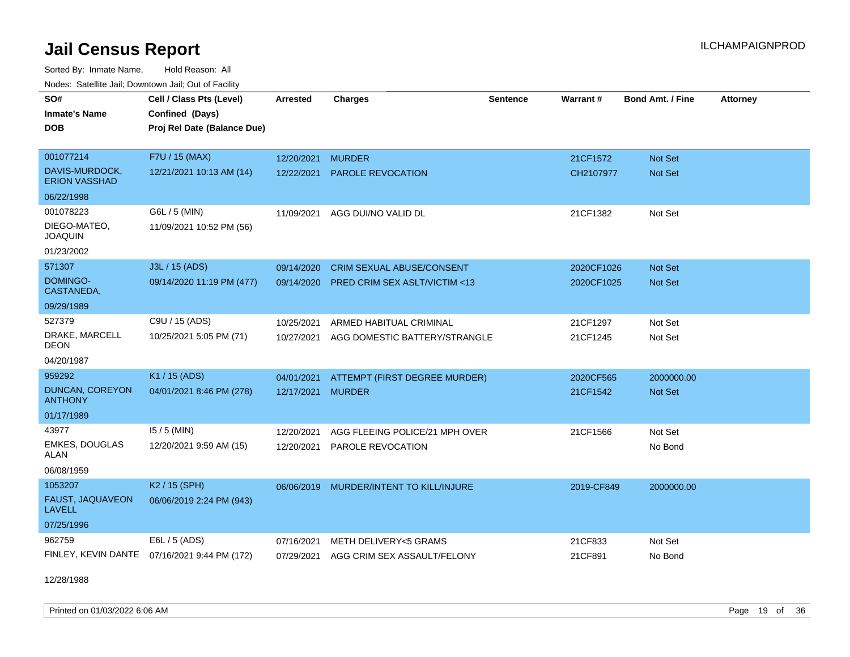Sorted By: Inmate Name, Hold Reason: All Nodes: Satellite Jail; Downtown Jail; Out of Facility

| rioucs. Odichilc Jah, Downtown Jah, Out of Facility |                                              |                 |                                         |                 |            |                         |                 |
|-----------------------------------------------------|----------------------------------------------|-----------------|-----------------------------------------|-----------------|------------|-------------------------|-----------------|
| SO#                                                 | Cell / Class Pts (Level)                     | <b>Arrested</b> | <b>Charges</b>                          | <b>Sentence</b> | Warrant#   | <b>Bond Amt. / Fine</b> | <b>Attorney</b> |
| <b>Inmate's Name</b>                                | Confined (Days)                              |                 |                                         |                 |            |                         |                 |
| <b>DOB</b>                                          | Proj Rel Date (Balance Due)                  |                 |                                         |                 |            |                         |                 |
|                                                     |                                              |                 |                                         |                 |            |                         |                 |
| 001077214                                           | F7U / 15 (MAX)                               | 12/20/2021      | <b>MURDER</b>                           |                 | 21CF1572   | Not Set                 |                 |
| DAVIS-MURDOCK,<br><b>ERION VASSHAD</b>              | 12/21/2021 10:13 AM (14)                     | 12/22/2021      | <b>PAROLE REVOCATION</b>                |                 | CH2107977  | <b>Not Set</b>          |                 |
| 06/22/1998                                          |                                              |                 |                                         |                 |            |                         |                 |
| 001078223                                           | G6L / 5 (MIN)                                |                 | 11/09/2021 AGG DUI/NO VALID DL          |                 | 21CF1382   | Not Set                 |                 |
| DIEGO-MATEO,<br><b>JOAQUIN</b>                      | 11/09/2021 10:52 PM (56)                     |                 |                                         |                 |            |                         |                 |
| 01/23/2002                                          |                                              |                 |                                         |                 |            |                         |                 |
| 571307                                              | J3L / 15 (ADS)                               | 09/14/2020      | <b>CRIM SEXUAL ABUSE/CONSENT</b>        |                 | 2020CF1026 | <b>Not Set</b>          |                 |
| DOMINGO-<br>CASTANEDA,                              | 09/14/2020 11:19 PM (477)                    | 09/14/2020      | <b>PRED CRIM SEX ASLT/VICTIM &lt;13</b> |                 | 2020CF1025 | <b>Not Set</b>          |                 |
| 09/29/1989                                          |                                              |                 |                                         |                 |            |                         |                 |
| 527379                                              | C9U / 15 (ADS)                               | 10/25/2021      | ARMED HABITUAL CRIMINAL                 |                 | 21CF1297   | Not Set                 |                 |
| DRAKE, MARCELL<br><b>DEON</b>                       | 10/25/2021 5:05 PM (71)                      | 10/27/2021      | AGG DOMESTIC BATTERY/STRANGLE           |                 | 21CF1245   | Not Set                 |                 |
| 04/20/1987                                          |                                              |                 |                                         |                 |            |                         |                 |
| 959292                                              | K1 / 15 (ADS)                                | 04/01/2021      | ATTEMPT (FIRST DEGREE MURDER)           |                 | 2020CF565  | 2000000.00              |                 |
| DUNCAN, COREYON<br><b>ANTHONY</b>                   | 04/01/2021 8:46 PM (278)                     | 12/17/2021      | <b>MURDER</b>                           |                 | 21CF1542   | <b>Not Set</b>          |                 |
| 01/17/1989                                          |                                              |                 |                                         |                 |            |                         |                 |
| 43977                                               | $15/5$ (MIN)                                 | 12/20/2021      | AGG FLEEING POLICE/21 MPH OVER          |                 | 21CF1566   | Not Set                 |                 |
| <b>EMKES, DOUGLAS</b><br>ALAN                       | 12/20/2021 9:59 AM (15)                      | 12/20/2021      | PAROLE REVOCATION                       |                 |            | No Bond                 |                 |
| 06/08/1959                                          |                                              |                 |                                         |                 |            |                         |                 |
| 1053207                                             | K <sub>2</sub> / 15 (SPH)                    | 06/06/2019      | MURDER/INTENT TO KILL/INJURE            |                 | 2019-CF849 | 2000000.00              |                 |
| FAUST, JAQUAVEON<br><b>LAVELL</b>                   | 06/06/2019 2:24 PM (943)                     |                 |                                         |                 |            |                         |                 |
| 07/25/1996                                          |                                              |                 |                                         |                 |            |                         |                 |
| 962759                                              | E6L / 5 (ADS)                                | 07/16/2021      | METH DELIVERY<5 GRAMS                   |                 | 21CF833    | Not Set                 |                 |
|                                                     | FINLEY, KEVIN DANTE 07/16/2021 9:44 PM (172) |                 | 07/29/2021 AGG CRIM SEX ASSAULT/FELONY  |                 | 21CF891    | No Bond                 |                 |

12/28/1988

Printed on 01/03/2022 6:06 AM Page 19 of 36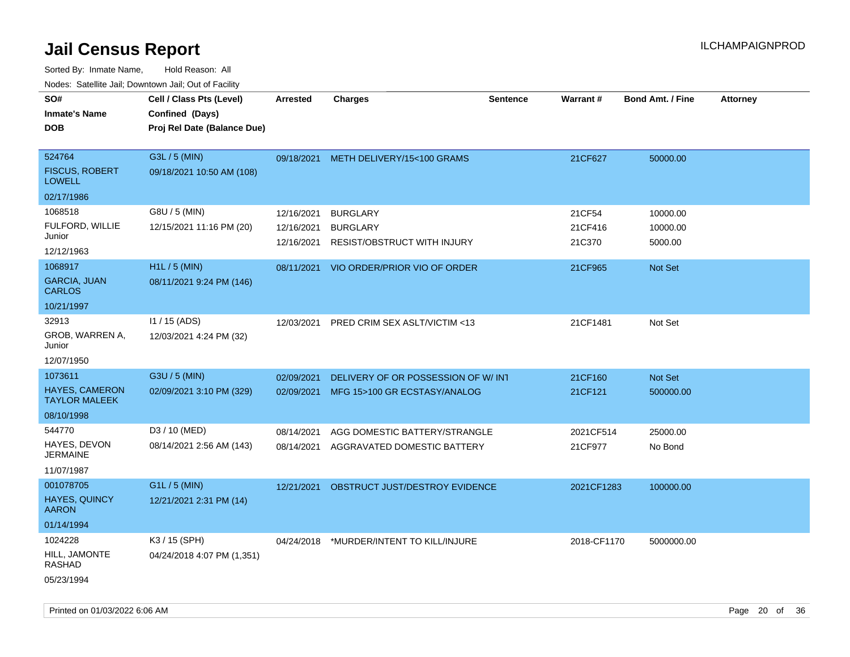| SO#<br><b>Inmate's Name</b>                   | Cell / Class Pts (Level)<br>Confined (Days) | <b>Arrested</b> | <b>Charges</b>                     | <b>Sentence</b> | Warrant#    | <b>Bond Amt. / Fine</b> | <b>Attorney</b> |
|-----------------------------------------------|---------------------------------------------|-----------------|------------------------------------|-----------------|-------------|-------------------------|-----------------|
| <b>DOB</b>                                    | Proj Rel Date (Balance Due)                 |                 |                                    |                 |             |                         |                 |
|                                               |                                             |                 |                                    |                 |             |                         |                 |
| 524764                                        | G3L / 5 (MIN)                               | 09/18/2021      | METH DELIVERY/15<100 GRAMS         |                 | 21CF627     | 50000.00                |                 |
| <b>FISCUS, ROBERT</b><br><b>LOWELL</b>        | 09/18/2021 10:50 AM (108)                   |                 |                                    |                 |             |                         |                 |
| 02/17/1986                                    |                                             |                 |                                    |                 |             |                         |                 |
| 1068518                                       | G8U / 5 (MIN)                               | 12/16/2021      | <b>BURGLARY</b>                    |                 | 21CF54      | 10000.00                |                 |
| FULFORD, WILLIE                               | 12/15/2021 11:16 PM (20)                    | 12/16/2021      | <b>BURGLARY</b>                    |                 | 21CF416     | 10000.00                |                 |
| Junior                                        |                                             | 12/16/2021      | RESIST/OBSTRUCT WITH INJURY        |                 | 21C370      | 5000.00                 |                 |
| 12/12/1963                                    |                                             |                 |                                    |                 |             |                         |                 |
| 1068917                                       | H1L / 5 (MIN)                               | 08/11/2021      | VIO ORDER/PRIOR VIO OF ORDER       |                 | 21CF965     | Not Set                 |                 |
| <b>GARCIA, JUAN</b><br><b>CARLOS</b>          | 08/11/2021 9:24 PM (146)                    |                 |                                    |                 |             |                         |                 |
| 10/21/1997                                    |                                             |                 |                                    |                 |             |                         |                 |
| 32913                                         | I1 / 15 (ADS)                               | 12/03/2021      | PRED CRIM SEX ASLT/VICTIM <13      |                 | 21CF1481    | Not Set                 |                 |
| GROB, WARREN A,<br>Junior                     | 12/03/2021 4:24 PM (32)                     |                 |                                    |                 |             |                         |                 |
| 12/07/1950                                    |                                             |                 |                                    |                 |             |                         |                 |
| 1073611                                       | G3U / 5 (MIN)                               | 02/09/2021      | DELIVERY OF OR POSSESSION OF W/INT |                 | 21CF160     | <b>Not Set</b>          |                 |
| <b>HAYES, CAMERON</b><br><b>TAYLOR MALEEK</b> | 02/09/2021 3:10 PM (329)                    | 02/09/2021      | MFG 15>100 GR ECSTASY/ANALOG       |                 | 21CF121     | 500000.00               |                 |
| 08/10/1998                                    |                                             |                 |                                    |                 |             |                         |                 |
| 544770                                        | D3 / 10 (MED)                               | 08/14/2021      | AGG DOMESTIC BATTERY/STRANGLE      |                 | 2021CF514   | 25000.00                |                 |
| HAYES, DEVON<br><b>JERMAINE</b>               | 08/14/2021 2:56 AM (143)                    | 08/14/2021      | AGGRAVATED DOMESTIC BATTERY        |                 | 21CF977     | No Bond                 |                 |
| 11/07/1987                                    |                                             |                 |                                    |                 |             |                         |                 |
| 001078705                                     | G1L / 5 (MIN)                               | 12/21/2021      | OBSTRUCT JUST/DESTROY EVIDENCE     |                 | 2021CF1283  | 100000.00               |                 |
| HAYES, QUINCY<br><b>AARON</b>                 | 12/21/2021 2:31 PM (14)                     |                 |                                    |                 |             |                         |                 |
| 01/14/1994                                    |                                             |                 |                                    |                 |             |                         |                 |
| 1024228                                       | K3 / 15 (SPH)                               | 04/24/2018      | *MURDER/INTENT TO KILL/INJURE      |                 | 2018-CF1170 | 5000000.00              |                 |
| HILL, JAMONTE<br><b>RASHAD</b>                | 04/24/2018 4:07 PM (1,351)                  |                 |                                    |                 |             |                         |                 |
| 05/23/1994                                    |                                             |                 |                                    |                 |             |                         |                 |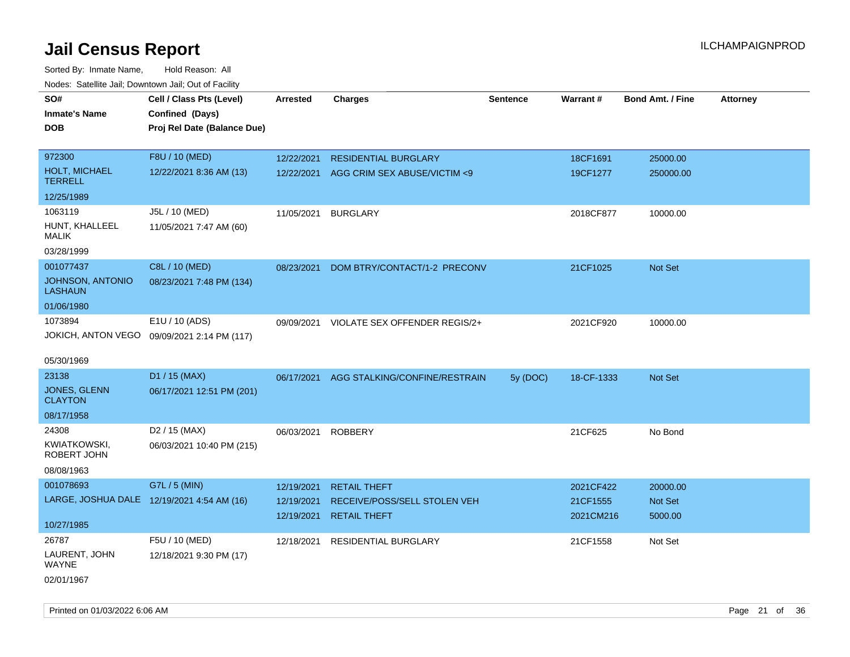| ivouss. Saleling Jali, Downtown Jali, Out of Facility |                                             |            |                                          |                 |                 |                         |                 |
|-------------------------------------------------------|---------------------------------------------|------------|------------------------------------------|-----------------|-----------------|-------------------------|-----------------|
| SO#                                                   | Cell / Class Pts (Level)                    | Arrested   | <b>Charges</b>                           | <b>Sentence</b> | <b>Warrant#</b> | <b>Bond Amt. / Fine</b> | <b>Attorney</b> |
| <b>Inmate's Name</b>                                  | Confined (Days)                             |            |                                          |                 |                 |                         |                 |
| <b>DOB</b>                                            | Proj Rel Date (Balance Due)                 |            |                                          |                 |                 |                         |                 |
|                                                       |                                             |            |                                          |                 |                 |                         |                 |
| 972300                                                | F8U / 10 (MED)                              | 12/22/2021 | <b>RESIDENTIAL BURGLARY</b>              |                 | 18CF1691        | 25000.00                |                 |
| <b>HOLT, MICHAEL</b><br><b>TERRELL</b>                | 12/22/2021 8:36 AM (13)                     | 12/22/2021 | AGG CRIM SEX ABUSE/VICTIM <9             |                 | 19CF1277        | 250000.00               |                 |
| 12/25/1989                                            |                                             |            |                                          |                 |                 |                         |                 |
| 1063119                                               | J5L / 10 (MED)                              | 11/05/2021 | <b>BURGLARY</b>                          |                 | 2018CF877       | 10000.00                |                 |
| HUNT, KHALLEEL<br><b>MALIK</b>                        | 11/05/2021 7:47 AM (60)                     |            |                                          |                 |                 |                         |                 |
| 03/28/1999                                            |                                             |            |                                          |                 |                 |                         |                 |
| 001077437                                             | C8L / 10 (MED)                              | 08/23/2021 | DOM BTRY/CONTACT/1-2 PRECONV             |                 | 21CF1025        | Not Set                 |                 |
| <b>JOHNSON, ANTONIO</b><br><b>LASHAUN</b>             | 08/23/2021 7:48 PM (134)                    |            |                                          |                 |                 |                         |                 |
| 01/06/1980                                            |                                             |            |                                          |                 |                 |                         |                 |
| 1073894                                               | E1U / 10 (ADS)                              |            | 09/09/2021 VIOLATE SEX OFFENDER REGIS/2+ |                 | 2021CF920       | 10000.00                |                 |
|                                                       | JOKICH, ANTON VEGO 09/09/2021 2:14 PM (117) |            |                                          |                 |                 |                         |                 |
|                                                       |                                             |            |                                          |                 |                 |                         |                 |
| 05/30/1969                                            |                                             |            |                                          |                 |                 |                         |                 |
| 23138                                                 | D1 / 15 (MAX)                               | 06/17/2021 | AGG STALKING/CONFINE/RESTRAIN            | 5y (DOC)        | 18-CF-1333      | Not Set                 |                 |
| JONES, GLENN<br><b>CLAYTON</b>                        | 06/17/2021 12:51 PM (201)                   |            |                                          |                 |                 |                         |                 |
| 08/17/1958                                            |                                             |            |                                          |                 |                 |                         |                 |
| 24308                                                 | D <sub>2</sub> / 15 (MAX)                   | 06/03/2021 | <b>ROBBERY</b>                           |                 | 21CF625         | No Bond                 |                 |
| KWIATKOWSKI,<br>ROBERT JOHN                           | 06/03/2021 10:40 PM (215)                   |            |                                          |                 |                 |                         |                 |
| 08/08/1963                                            |                                             |            |                                          |                 |                 |                         |                 |
| 001078693                                             | G7L / 5 (MIN)                               | 12/19/2021 | <b>RETAIL THEFT</b>                      |                 | 2021CF422       | 20000.00                |                 |
| LARGE, JOSHUA DALE 12/19/2021 4:54 AM (16)            |                                             | 12/19/2021 | RECEIVE/POSS/SELL STOLEN VEH             |                 | 21CF1555        | Not Set                 |                 |
|                                                       |                                             | 12/19/2021 | <b>RETAIL THEFT</b>                      |                 | 2021CM216       | 5000.00                 |                 |
| 10/27/1985                                            |                                             |            |                                          |                 |                 |                         |                 |
| 26787                                                 | F5U / 10 (MED)                              | 12/18/2021 | <b>RESIDENTIAL BURGLARY</b>              |                 | 21CF1558        | Not Set                 |                 |
| LAURENT, JOHN<br><b>WAYNE</b>                         | 12/18/2021 9:30 PM (17)                     |            |                                          |                 |                 |                         |                 |
| 02/01/1967                                            |                                             |            |                                          |                 |                 |                         |                 |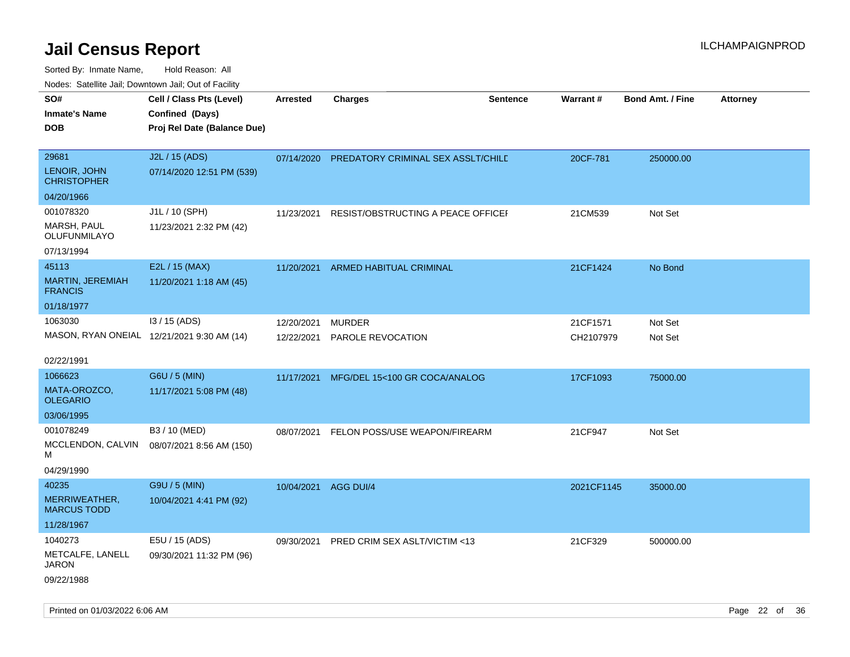| SO#                                       | Cell / Class Pts (Level)                       | Arrested             | <b>Charges</b>                            | <b>Sentence</b> | <b>Warrant#</b> | <b>Bond Amt. / Fine</b> | <b>Attorney</b> |
|-------------------------------------------|------------------------------------------------|----------------------|-------------------------------------------|-----------------|-----------------|-------------------------|-----------------|
| <b>Inmate's Name</b><br>DOB               | Confined (Days)<br>Proj Rel Date (Balance Due) |                      |                                           |                 |                 |                         |                 |
| 29681                                     | J2L / 15 (ADS)                                 | 07/14/2020           | <b>PREDATORY CRIMINAL SEX ASSLT/CHILE</b> |                 | 20CF-781        | 250000.00               |                 |
| LENOIR, JOHN<br><b>CHRISTOPHER</b>        | 07/14/2020 12:51 PM (539)                      |                      |                                           |                 |                 |                         |                 |
| 04/20/1966                                |                                                |                      |                                           |                 |                 |                         |                 |
| 001078320                                 | J1L / 10 (SPH)                                 | 11/23/2021           | RESIST/OBSTRUCTING A PEACE OFFICEF        |                 | 21CM539         | Not Set                 |                 |
| MARSH, PAUL<br>OLUFUNMILAYO               | 11/23/2021 2:32 PM (42)                        |                      |                                           |                 |                 |                         |                 |
| 07/13/1994                                |                                                |                      |                                           |                 |                 |                         |                 |
| 45113                                     | E2L / 15 (MAX)                                 | 11/20/2021           | ARMED HABITUAL CRIMINAL                   |                 | 21CF1424        | No Bond                 |                 |
| <b>MARTIN, JEREMIAH</b><br><b>FRANCIS</b> | 11/20/2021 1:18 AM (45)                        |                      |                                           |                 |                 |                         |                 |
| 01/18/1977                                |                                                |                      |                                           |                 |                 |                         |                 |
| 1063030                                   | I3 / 15 (ADS)                                  | 12/20/2021           | <b>MURDER</b>                             |                 | 21CF1571        | Not Set                 |                 |
|                                           | MASON, RYAN ONEIAL 12/21/2021 9:30 AM (14)     | 12/22/2021           | PAROLE REVOCATION                         |                 | CH2107979       | Not Set                 |                 |
| 02/22/1991                                |                                                |                      |                                           |                 |                 |                         |                 |
| 1066623                                   | G6U / 5 (MIN)                                  | 11/17/2021           | MFG/DEL 15<100 GR COCA/ANALOG             |                 | 17CF1093        | 75000.00                |                 |
| MATA-OROZCO.<br><b>OLEGARIO</b>           | 11/17/2021 5:08 PM (48)                        |                      |                                           |                 |                 |                         |                 |
| 03/06/1995                                |                                                |                      |                                           |                 |                 |                         |                 |
| 001078249                                 | B3 / 10 (MED)                                  | 08/07/2021           | FELON POSS/USE WEAPON/FIREARM             |                 | 21CF947         | Not Set                 |                 |
| MCCLENDON, CALVIN<br>м                    | 08/07/2021 8:56 AM (150)                       |                      |                                           |                 |                 |                         |                 |
| 04/29/1990                                |                                                |                      |                                           |                 |                 |                         |                 |
| 40235                                     | G9U / 5 (MIN)                                  | 10/04/2021 AGG DUI/4 |                                           |                 | 2021CF1145      | 35000.00                |                 |
| MERRIWEATHER,<br><b>MARCUS TODD</b>       | 10/04/2021 4:41 PM (92)                        |                      |                                           |                 |                 |                         |                 |
| 11/28/1967                                |                                                |                      |                                           |                 |                 |                         |                 |
| 1040273                                   | E5U / 15 (ADS)                                 | 09/30/2021           | PRED CRIM SEX ASLT/VICTIM <13             |                 | 21CF329         | 500000.00               |                 |
| METCALFE, LANELL<br>JARON                 | 09/30/2021 11:32 PM (96)                       |                      |                                           |                 |                 |                         |                 |
| 09/22/1988                                |                                                |                      |                                           |                 |                 |                         |                 |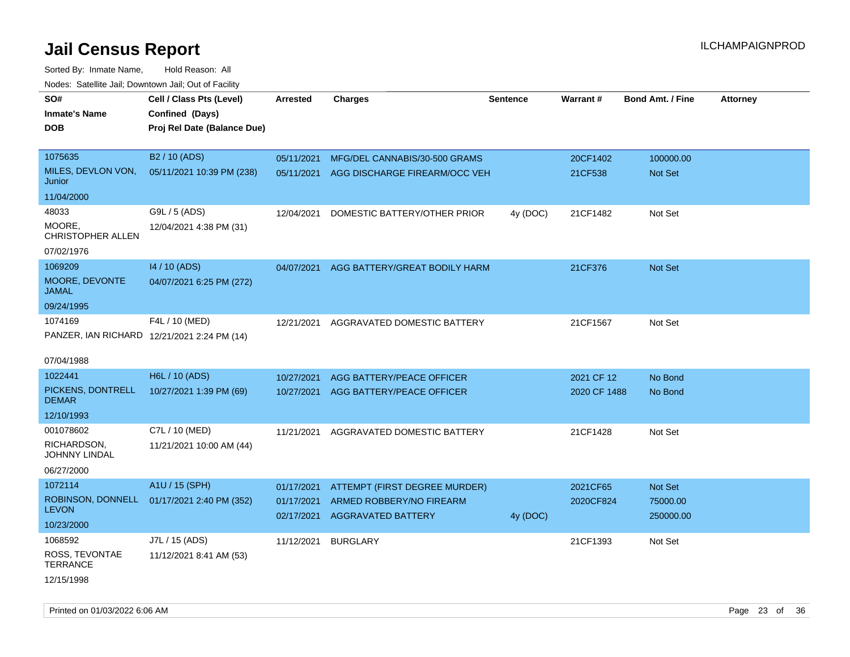Sorted By: Inmate Name, Hold Reason: All Nodes: Satellite Jail; Downtown Jail; Out of Facility

| Nudes. Satellite Jali, Downtown Jali, Out of Facility |                             |            |                               |                 |              |                         |                 |
|-------------------------------------------------------|-----------------------------|------------|-------------------------------|-----------------|--------------|-------------------------|-----------------|
| SO#                                                   | Cell / Class Pts (Level)    | Arrested   | <b>Charges</b>                | <b>Sentence</b> | Warrant#     | <b>Bond Amt. / Fine</b> | <b>Attorney</b> |
| <b>Inmate's Name</b>                                  | Confined (Days)             |            |                               |                 |              |                         |                 |
| <b>DOB</b>                                            | Proj Rel Date (Balance Due) |            |                               |                 |              |                         |                 |
|                                                       |                             |            |                               |                 |              |                         |                 |
| 1075635                                               | B <sub>2</sub> / 10 (ADS)   | 05/11/2021 | MFG/DEL CANNABIS/30-500 GRAMS |                 | 20CF1402     | 100000.00               |                 |
| MILES, DEVLON VON,<br>Junior                          | 05/11/2021 10:39 PM (238)   | 05/11/2021 | AGG DISCHARGE FIREARM/OCC VEH |                 | 21CF538      | Not Set                 |                 |
| 11/04/2000                                            |                             |            |                               |                 |              |                         |                 |
| 48033                                                 | G9L / 5 (ADS)               | 12/04/2021 | DOMESTIC BATTERY/OTHER PRIOR  | 4y (DOC)        | 21CF1482     | Not Set                 |                 |
| MOORE,<br><b>CHRISTOPHER ALLEN</b>                    | 12/04/2021 4:38 PM (31)     |            |                               |                 |              |                         |                 |
| 07/02/1976                                            |                             |            |                               |                 |              |                         |                 |
| 1069209                                               | 14 / 10 (ADS)               | 04/07/2021 | AGG BATTERY/GREAT BODILY HARM |                 | 21CF376      | <b>Not Set</b>          |                 |
| MOORE, DEVONTE<br>JAMAL                               | 04/07/2021 6:25 PM (272)    |            |                               |                 |              |                         |                 |
| 09/24/1995                                            |                             |            |                               |                 |              |                         |                 |
| 1074169                                               | F4L / 10 (MED)              | 12/21/2021 | AGGRAVATED DOMESTIC BATTERY   |                 | 21CF1567     | Not Set                 |                 |
| PANZER, IAN RICHARD 12/21/2021 2:24 PM (14)           |                             |            |                               |                 |              |                         |                 |
| 07/04/1988                                            |                             |            |                               |                 |              |                         |                 |
| 1022441                                               | H6L / 10 (ADS)              | 10/27/2021 | AGG BATTERY/PEACE OFFICER     |                 | 2021 CF 12   | No Bond                 |                 |
| PICKENS, DONTRELL<br><b>DEMAR</b>                     | 10/27/2021 1:39 PM (69)     | 10/27/2021 | AGG BATTERY/PEACE OFFICER     |                 | 2020 CF 1488 | No Bond                 |                 |
| 12/10/1993                                            |                             |            |                               |                 |              |                         |                 |
| 001078602                                             | C7L / 10 (MED)              | 11/21/2021 | AGGRAVATED DOMESTIC BATTERY   |                 | 21CF1428     | Not Set                 |                 |
| RICHARDSON,<br>JOHNNY LINDAL                          | 11/21/2021 10:00 AM (44)    |            |                               |                 |              |                         |                 |
| 06/27/2000                                            |                             |            |                               |                 |              |                         |                 |
| 1072114                                               | A1U / 15 (SPH)              | 01/17/2021 | ATTEMPT (FIRST DEGREE MURDER) |                 | 2021CF65     | Not Set                 |                 |
| ROBINSON, DONNELL                                     | 01/17/2021 2:40 PM (352)    | 01/17/2021 | ARMED ROBBERY/NO FIREARM      |                 | 2020CF824    | 75000.00                |                 |
| <b>LEVON</b>                                          |                             | 02/17/2021 | <b>AGGRAVATED BATTERY</b>     | 4y (DOC)        |              | 250000.00               |                 |
| 10/23/2000                                            |                             |            |                               |                 |              |                         |                 |
| 1068592                                               | J7L / 15 (ADS)              | 11/12/2021 | <b>BURGLARY</b>               |                 | 21CF1393     | Not Set                 |                 |
| ROSS, TEVONTAE<br><b>TERRANCE</b>                     | 11/12/2021 8:41 AM (53)     |            |                               |                 |              |                         |                 |
| 12/15/1998                                            |                             |            |                               |                 |              |                         |                 |

Printed on 01/03/2022 6:06 AM Page 23 of 36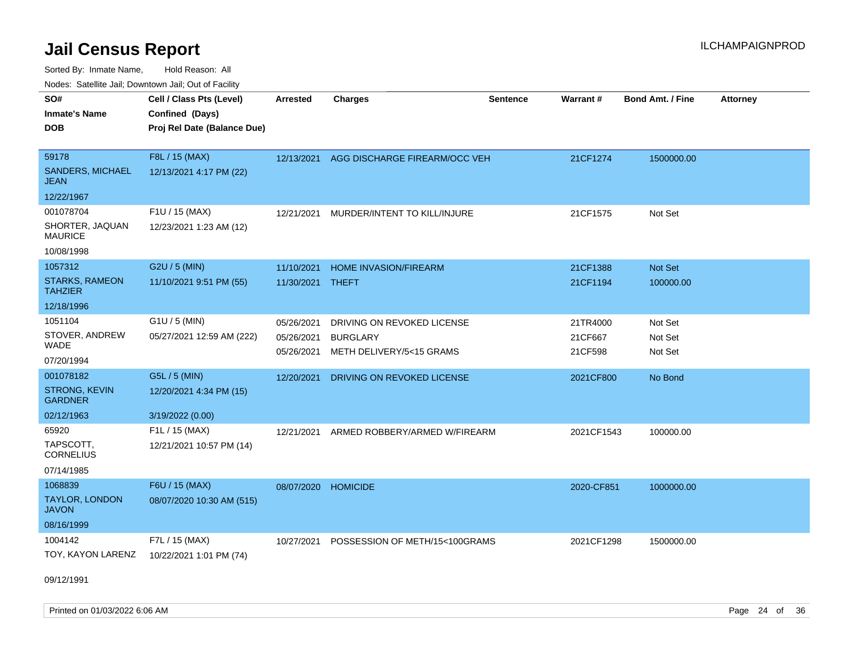Sorted By: Inmate Name, Hold Reason: All Nodes: Satellite Jail; Downtown Jail; Out of Facility

| roaco. Calcinio dan, Downtown dan, Cal or Fability                |                                                                            |                                        |                                                                           |                 |                                |                               |                 |
|-------------------------------------------------------------------|----------------------------------------------------------------------------|----------------------------------------|---------------------------------------------------------------------------|-----------------|--------------------------------|-------------------------------|-----------------|
| SO#<br>Inmate's Name<br>DOB                                       | Cell / Class Pts (Level)<br>Confined (Days)<br>Proj Rel Date (Balance Due) | <b>Arrested</b>                        | <b>Charges</b>                                                            | <b>Sentence</b> | <b>Warrant#</b>                | <b>Bond Amt. / Fine</b>       | <b>Attorney</b> |
| 59178<br><b>SANDERS, MICHAEL</b><br>JEAN                          | F8L / 15 (MAX)<br>12/13/2021 4:17 PM (22)                                  |                                        | 12/13/2021 AGG DISCHARGE FIREARM/OCC VEH                                  |                 | 21CF1274                       | 1500000.00                    |                 |
| 12/22/1967                                                        |                                                                            |                                        |                                                                           |                 |                                |                               |                 |
| 001078704<br>SHORTER, JAQUAN<br>MAURICE<br>10/08/1998             | F1U / 15 (MAX)<br>12/23/2021 1:23 AM (12)                                  | 12/21/2021                             | MURDER/INTENT TO KILL/INJURE                                              |                 | 21CF1575                       | Not Set                       |                 |
| 1057312                                                           | G2U / 5 (MIN)                                                              | 11/10/2021                             | <b>HOME INVASION/FIREARM</b>                                              |                 | 21CF1388                       | <b>Not Set</b>                |                 |
| <b>STARKS, RAMEON</b><br><b>TAHZIER</b>                           | 11/10/2021 9:51 PM (55)                                                    | 11/30/2021 THEFT                       |                                                                           |                 | 21CF1194                       | 100000.00                     |                 |
| 12/18/1996                                                        |                                                                            |                                        |                                                                           |                 |                                |                               |                 |
| 1051104<br>STOVER, ANDREW<br>WADE<br>07/20/1994                   | $G1U / 5$ (MIN)<br>05/27/2021 12:59 AM (222)                               | 05/26/2021<br>05/26/2021<br>05/26/2021 | DRIVING ON REVOKED LICENSE<br><b>BURGLARY</b><br>METH DELIVERY/5<15 GRAMS |                 | 21TR4000<br>21CF667<br>21CF598 | Not Set<br>Not Set<br>Not Set |                 |
| 001078182<br><b>STRONG, KEVIN</b><br><b>GARDNER</b><br>02/12/1963 | G5L / 5 (MIN)<br>12/20/2021 4:34 PM (15)<br>3/19/2022 (0.00)               | 12/20/2021                             | DRIVING ON REVOKED LICENSE                                                |                 | 2021CF800                      | No Bond                       |                 |
| 65920<br>TAPSCOTT.<br>CORNELIUS<br>07/14/1985                     | F1L / 15 (MAX)<br>12/21/2021 10:57 PM (14)                                 | 12/21/2021                             | ARMED ROBBERY/ARMED W/FIREARM                                             |                 | 2021CF1543                     | 100000.00                     |                 |
| 1068839<br><b>TAYLOR, LONDON</b><br>JAVON<br>08/16/1999           | F6U / 15 (MAX)<br>08/07/2020 10:30 AM (515)                                | 08/07/2020                             | <b>HOMICIDE</b>                                                           |                 | 2020-CF851                     | 1000000.00                    |                 |
| 1004142<br>TOY, KAYON LARENZ                                      | F7L / 15 (MAX)<br>10/22/2021 1:01 PM (74)                                  | 10/27/2021                             | POSSESSION OF METH/15<100GRAMS                                            |                 | 2021CF1298                     | 1500000.00                    |                 |

09/12/1991

Printed on 01/03/2022 6:06 AM Page 24 of 36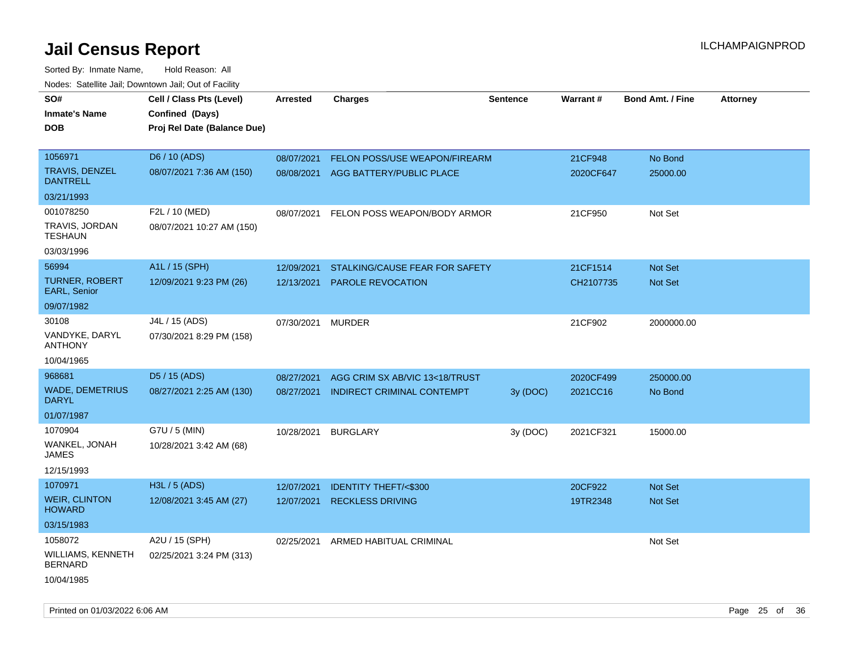| roaco. Catolino dall, Downtown dall, Out of Fability |                             |                 |                                     |                 |           |                         |                 |
|------------------------------------------------------|-----------------------------|-----------------|-------------------------------------|-----------------|-----------|-------------------------|-----------------|
| SO#                                                  | Cell / Class Pts (Level)    | <b>Arrested</b> | <b>Charges</b>                      | <b>Sentence</b> | Warrant#  | <b>Bond Amt. / Fine</b> | <b>Attorney</b> |
| <b>Inmate's Name</b>                                 | Confined (Days)             |                 |                                     |                 |           |                         |                 |
| <b>DOB</b>                                           | Proj Rel Date (Balance Due) |                 |                                     |                 |           |                         |                 |
|                                                      |                             |                 |                                     |                 |           |                         |                 |
| 1056971                                              | D6 / 10 (ADS)               | 08/07/2021      | FELON POSS/USE WEAPON/FIREARM       |                 | 21CF948   | No Bond                 |                 |
| <b>TRAVIS, DENZEL</b><br><b>DANTRELL</b>             | 08/07/2021 7:36 AM (150)    |                 | 08/08/2021 AGG BATTERY/PUBLIC PLACE |                 | 2020CF647 | 25000.00                |                 |
| 03/21/1993                                           |                             |                 |                                     |                 |           |                         |                 |
| 001078250                                            | F2L / 10 (MED)              | 08/07/2021      | FELON POSS WEAPON/BODY ARMOR        |                 | 21CF950   | Not Set                 |                 |
| TRAVIS, JORDAN<br>TESHAUN                            | 08/07/2021 10:27 AM (150)   |                 |                                     |                 |           |                         |                 |
| 03/03/1996                                           |                             |                 |                                     |                 |           |                         |                 |
| 56994                                                | A1L / 15 (SPH)              | 12/09/2021      | STALKING/CAUSE FEAR FOR SAFETY      |                 | 21CF1514  | Not Set                 |                 |
| <b>TURNER, ROBERT</b><br><b>EARL, Senior</b>         | 12/09/2021 9:23 PM (26)     | 12/13/2021      | <b>PAROLE REVOCATION</b>            |                 | CH2107735 | <b>Not Set</b>          |                 |
| 09/07/1982                                           |                             |                 |                                     |                 |           |                         |                 |
| 30108                                                | J4L / 15 (ADS)              | 07/30/2021      | <b>MURDER</b>                       |                 | 21CF902   | 2000000.00              |                 |
| VANDYKE, DARYL<br><b>ANTHONY</b>                     | 07/30/2021 8:29 PM (158)    |                 |                                     |                 |           |                         |                 |
| 10/04/1965                                           |                             |                 |                                     |                 |           |                         |                 |
| 968681                                               | D5 / 15 (ADS)               | 08/27/2021      | AGG CRIM SX AB/VIC 13<18/TRUST      |                 | 2020CF499 | 250000.00               |                 |
| <b>WADE, DEMETRIUS</b><br><b>DARYL</b>               | 08/27/2021 2:25 AM (130)    | 08/27/2021      | <b>INDIRECT CRIMINAL CONTEMPT</b>   | 3y(DOC)         | 2021CC16  | No Bond                 |                 |
| 01/07/1987                                           |                             |                 |                                     |                 |           |                         |                 |
| 1070904                                              | G7U / 5 (MIN)               | 10/28/2021      | <b>BURGLARY</b>                     | 3y (DOC)        | 2021CF321 | 15000.00                |                 |
| WANKEL, JONAH<br>JAMES                               | 10/28/2021 3:42 AM (68)     |                 |                                     |                 |           |                         |                 |
| 12/15/1993                                           |                             |                 |                                     |                 |           |                         |                 |
| 1070971                                              | H3L / 5 (ADS)               | 12/07/2021      | <b>IDENTITY THEFT/&lt;\$300</b>     |                 | 20CF922   | <b>Not Set</b>          |                 |
| <b>WEIR, CLINTON</b><br><b>HOWARD</b>                | 12/08/2021 3:45 AM (27)     | 12/07/2021      | <b>RECKLESS DRIVING</b>             |                 | 19TR2348  | <b>Not Set</b>          |                 |
| 03/15/1983                                           |                             |                 |                                     |                 |           |                         |                 |
| 1058072                                              | A2U / 15 (SPH)              | 02/25/2021      | ARMED HABITUAL CRIMINAL             |                 |           | Not Set                 |                 |
| WILLIAMS, KENNETH<br><b>BERNARD</b>                  | 02/25/2021 3:24 PM (313)    |                 |                                     |                 |           |                         |                 |
| 10/04/1985                                           |                             |                 |                                     |                 |           |                         |                 |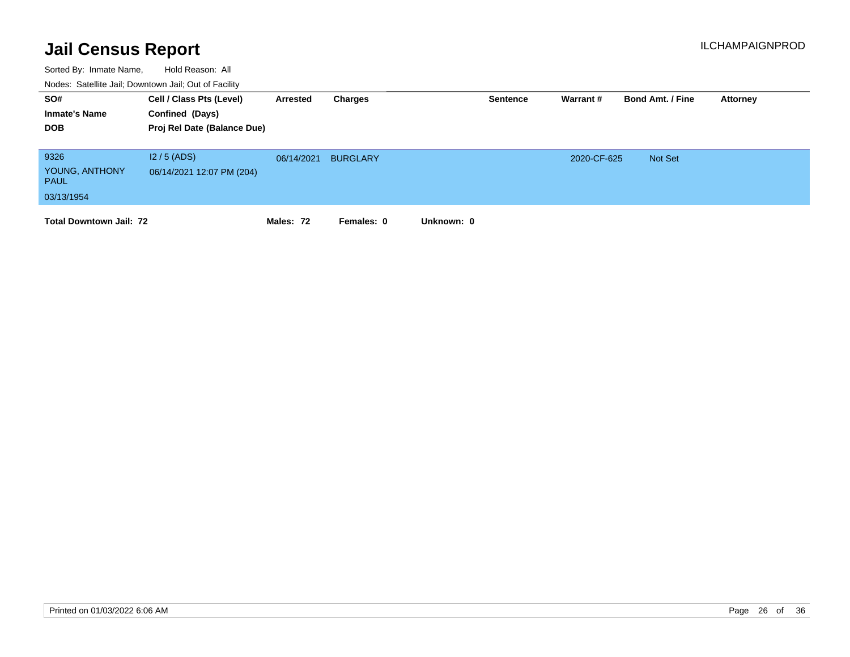| SO#<br><b>Inmate's Name</b><br><b>DOB</b>           | Cell / Class Pts (Level)<br>Confined (Days)<br>Proj Rel Date (Balance Due) | Arrested   | Charges         |            | <b>Sentence</b> | Warrant#    | <b>Bond Amt. / Fine</b> | Attorney |
|-----------------------------------------------------|----------------------------------------------------------------------------|------------|-----------------|------------|-----------------|-------------|-------------------------|----------|
| 9326<br>YOUNG, ANTHONY<br><b>PAUL</b><br>03/13/1954 | $12/5$ (ADS)<br>06/14/2021 12:07 PM (204)                                  | 06/14/2021 | <b>BURGLARY</b> |            |                 | 2020-CF-625 | <b>Not Set</b>          |          |
| <b>Total Downtown Jail: 72</b>                      |                                                                            | Males: 72  | Females: 0      | Unknown: 0 |                 |             |                         |          |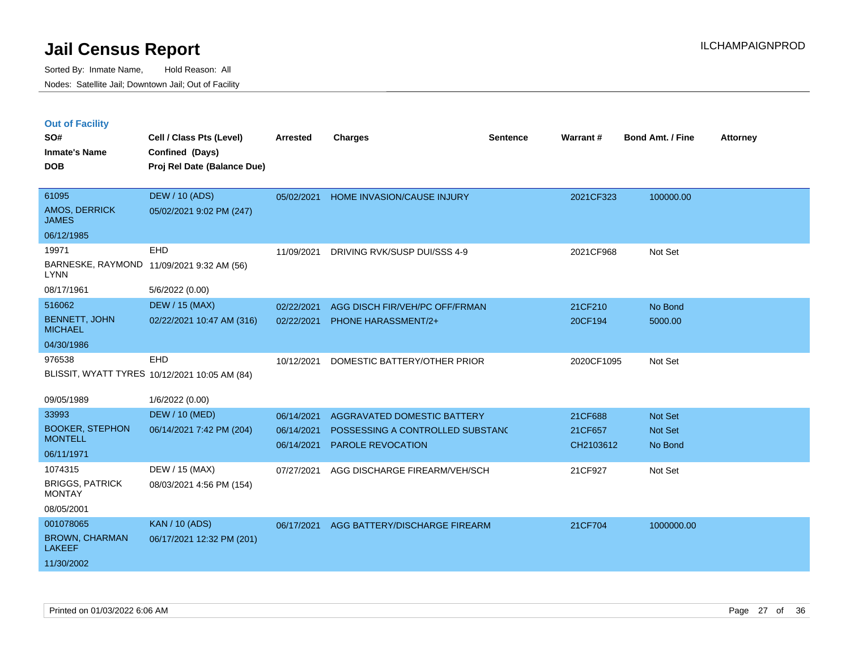| <b>Out of Facility</b> |  |  |
|------------------------|--|--|
|                        |  |  |

| SO#<br><b>Inmate's Name</b><br><b>DOB</b> | Cell / Class Pts (Level)<br>Confined (Days)<br>Proj Rel Date (Balance Due) | <b>Arrested</b> | <b>Charges</b>                   | <b>Sentence</b> | <b>Warrant#</b> | Bond Amt. / Fine | <b>Attorney</b> |
|-------------------------------------------|----------------------------------------------------------------------------|-----------------|----------------------------------|-----------------|-----------------|------------------|-----------------|
| 61095<br>AMOS, DERRICK<br><b>JAMES</b>    | <b>DEW / 10 (ADS)</b><br>05/02/2021 9:02 PM (247)                          | 05/02/2021      | HOME INVASION/CAUSE INJURY       |                 | 2021CF323       | 100000.00        |                 |
| 06/12/1985                                |                                                                            |                 |                                  |                 |                 |                  |                 |
| 19971                                     | EHD                                                                        | 11/09/2021      | DRIVING RVK/SUSP DUI/SSS 4-9     |                 | 2021CF968       | Not Set          |                 |
| <b>LYNN</b>                               | BARNESKE, RAYMOND 11/09/2021 9:32 AM (56)                                  |                 |                                  |                 |                 |                  |                 |
| 08/17/1961                                | 5/6/2022 (0.00)                                                            |                 |                                  |                 |                 |                  |                 |
| 516062                                    | <b>DEW / 15 (MAX)</b>                                                      | 02/22/2021      | AGG DISCH FIR/VEH/PC OFF/FRMAN   |                 | 21CF210         | No Bond          |                 |
| <b>BENNETT, JOHN</b><br><b>MICHAEL</b>    | 02/22/2021 10:47 AM (316)                                                  | 02/22/2021      | <b>PHONE HARASSMENT/2+</b>       |                 | 20CF194         | 5000.00          |                 |
| 04/30/1986                                |                                                                            |                 |                                  |                 |                 |                  |                 |
| 976538                                    | EHD                                                                        | 10/12/2021      | DOMESTIC BATTERY/OTHER PRIOR     |                 | 2020CF1095      | Not Set          |                 |
|                                           | BLISSIT, WYATT TYRES 10/12/2021 10:05 AM (84)                              |                 |                                  |                 |                 |                  |                 |
| 09/05/1989                                | 1/6/2022 (0.00)                                                            |                 |                                  |                 |                 |                  |                 |
| 33993                                     | <b>DEW / 10 (MED)</b>                                                      | 06/14/2021      | AGGRAVATED DOMESTIC BATTERY      |                 | 21CF688         | Not Set          |                 |
| <b>BOOKER, STEPHON</b>                    | 06/14/2021 7:42 PM (204)                                                   | 06/14/2021      | POSSESSING A CONTROLLED SUBSTAND |                 | 21CF657         | Not Set          |                 |
| <b>MONTELL</b>                            |                                                                            | 06/14/2021      | PAROLE REVOCATION                |                 | CH2103612       | No Bond          |                 |
| 06/11/1971                                |                                                                            |                 |                                  |                 |                 |                  |                 |
| 1074315                                   | DEW / 15 (MAX)                                                             | 07/27/2021      | AGG DISCHARGE FIREARM/VEH/SCH    |                 | 21CF927         | Not Set          |                 |
| <b>BRIGGS, PATRICK</b><br><b>MONTAY</b>   | 08/03/2021 4:56 PM (154)                                                   |                 |                                  |                 |                 |                  |                 |
| 08/05/2001                                |                                                                            |                 |                                  |                 |                 |                  |                 |
| 001078065                                 | <b>KAN / 10 (ADS)</b>                                                      | 06/17/2021      | AGG BATTERY/DISCHARGE FIREARM    |                 | 21CF704         | 1000000.00       |                 |
| <b>BROWN, CHARMAN</b><br><b>LAKEEF</b>    | 06/17/2021 12:32 PM (201)                                                  |                 |                                  |                 |                 |                  |                 |
| 11/30/2002                                |                                                                            |                 |                                  |                 |                 |                  |                 |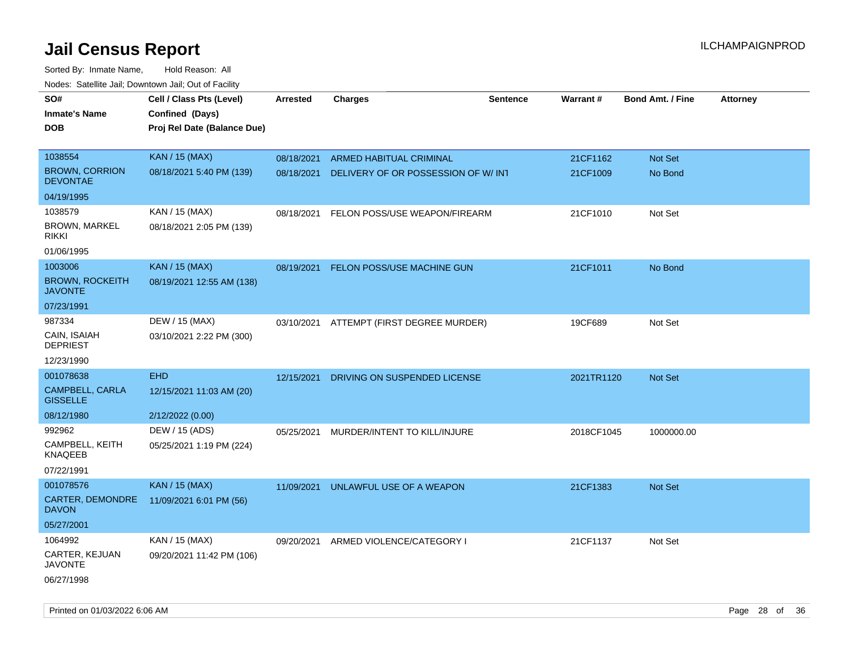| noaco. Catomto can, Domntonn can, Cat or I domt<br>SO#<br><b>Inmate's Name</b><br><b>DOB</b> | Cell / Class Pts (Level)<br>Confined (Days)<br>Proj Rel Date (Balance Due) | Arrested                 | <b>Charges</b>                                                 | <b>Sentence</b> | <b>Warrant#</b>      | <b>Bond Amt. / Fine</b>   | Attorney |
|----------------------------------------------------------------------------------------------|----------------------------------------------------------------------------|--------------------------|----------------------------------------------------------------|-----------------|----------------------|---------------------------|----------|
| 1038554<br><b>BROWN, CORRION</b><br><b>DEVONTAE</b>                                          | <b>KAN / 15 (MAX)</b><br>08/18/2021 5:40 PM (139)                          | 08/18/2021<br>08/18/2021 | ARMED HABITUAL CRIMINAL<br>DELIVERY OF OR POSSESSION OF W/ INT |                 | 21CF1162<br>21CF1009 | <b>Not Set</b><br>No Bond |          |
| 04/19/1995                                                                                   |                                                                            |                          |                                                                |                 |                      |                           |          |
| 1038579<br><b>BROWN, MARKEL</b><br><b>RIKKI</b>                                              | KAN / 15 (MAX)<br>08/18/2021 2:05 PM (139)                                 | 08/18/2021               | FELON POSS/USE WEAPON/FIREARM                                  |                 | 21CF1010             | Not Set                   |          |
| 01/06/1995<br>1003006<br><b>BROWN, ROCKEITH</b><br><b>JAVONTE</b><br>07/23/1991              | <b>KAN / 15 (MAX)</b><br>08/19/2021 12:55 AM (138)                         | 08/19/2021               | FELON POSS/USE MACHINE GUN                                     |                 | 21CF1011             | No Bond                   |          |
| 987334<br>CAIN, ISAIAH<br><b>DEPRIEST</b><br>12/23/1990                                      | DEW / 15 (MAX)<br>03/10/2021 2:22 PM (300)                                 | 03/10/2021               | ATTEMPT (FIRST DEGREE MURDER)                                  |                 | 19CF689              | Not Set                   |          |
| 001078638<br><b>CAMPBELL, CARLA</b><br><b>GISSELLE</b><br>08/12/1980                         | <b>EHD</b><br>12/15/2021 11:03 AM (20)<br>2/12/2022 (0.00)                 | 12/15/2021               | DRIVING ON SUSPENDED LICENSE                                   |                 | 2021TR1120           | <b>Not Set</b>            |          |
| 992962<br>CAMPBELL, KEITH<br>KNAQEEB<br>07/22/1991                                           | DEW / 15 (ADS)<br>05/25/2021 1:19 PM (224)                                 | 05/25/2021               | MURDER/INTENT TO KILL/INJURE                                   |                 | 2018CF1045           | 1000000.00                |          |
| 001078576<br>CARTER, DEMONDRE<br><b>DAVON</b><br>05/27/2001                                  | <b>KAN / 15 (MAX)</b><br>11/09/2021 6:01 PM (56)                           | 11/09/2021               | UNLAWFUL USE OF A WEAPON                                       |                 | 21CF1383             | <b>Not Set</b>            |          |
| 1064992<br>CARTER, KEJUAN<br><b>JAVONTE</b><br>06/27/1998                                    | KAN / 15 (MAX)<br>09/20/2021 11:42 PM (106)                                | 09/20/2021               | ARMED VIOLENCE/CATEGORY I                                      |                 | 21CF1137             | Not Set                   |          |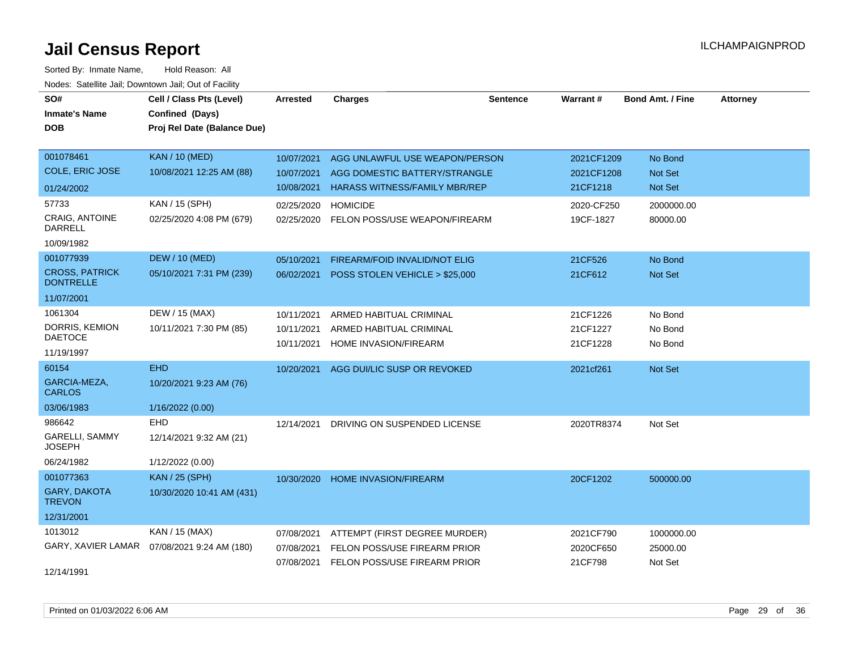| SO#                                       | Cell / Class Pts (Level)    | <b>Arrested</b> | <b>Charges</b>                       | <b>Sentence</b> | <b>Warrant#</b> | <b>Bond Amt. / Fine</b> | <b>Attorney</b> |
|-------------------------------------------|-----------------------------|-----------------|--------------------------------------|-----------------|-----------------|-------------------------|-----------------|
| <b>Inmate's Name</b>                      | Confined (Days)             |                 |                                      |                 |                 |                         |                 |
| <b>DOB</b>                                | Proj Rel Date (Balance Due) |                 |                                      |                 |                 |                         |                 |
|                                           |                             |                 |                                      |                 |                 |                         |                 |
| 001078461                                 | <b>KAN / 10 (MED)</b>       | 10/07/2021      | AGG UNLAWFUL USE WEAPON/PERSON       |                 | 2021CF1209      | No Bond                 |                 |
| <b>COLE, ERIC JOSE</b>                    | 10/08/2021 12:25 AM (88)    | 10/07/2021      | AGG DOMESTIC BATTERY/STRANGLE        |                 | 2021CF1208      | Not Set                 |                 |
| 01/24/2002                                |                             | 10/08/2021      | <b>HARASS WITNESS/FAMILY MBR/REP</b> |                 | 21CF1218        | Not Set                 |                 |
| 57733                                     | KAN / 15 (SPH)              | 02/25/2020      | <b>HOMICIDE</b>                      |                 | 2020-CF250      | 2000000.00              |                 |
| <b>CRAIG, ANTOINE</b><br><b>DARRELL</b>   | 02/25/2020 4:08 PM (679)    | 02/25/2020      | FELON POSS/USE WEAPON/FIREARM        |                 | 19CF-1827       | 80000.00                |                 |
| 10/09/1982                                |                             |                 |                                      |                 |                 |                         |                 |
| 001077939                                 | <b>DEW / 10 (MED)</b>       | 05/10/2021      | FIREARM/FOID INVALID/NOT ELIG        |                 | 21CF526         | No Bond                 |                 |
| <b>CROSS, PATRICK</b><br><b>DONTRELLE</b> | 05/10/2021 7:31 PM (239)    | 06/02/2021      | POSS STOLEN VEHICLE > \$25,000       |                 | 21CF612         | Not Set                 |                 |
| 11/07/2001                                |                             |                 |                                      |                 |                 |                         |                 |
| 1061304                                   | DEW / 15 (MAX)              | 10/11/2021      | ARMED HABITUAL CRIMINAL              |                 | 21CF1226        | No Bond                 |                 |
| DORRIS, KEMION                            | 10/11/2021 7:30 PM (85)     | 10/11/2021      | ARMED HABITUAL CRIMINAL              |                 | 21CF1227        | No Bond                 |                 |
| <b>DAETOCE</b>                            |                             | 10/11/2021      | HOME INVASION/FIREARM                |                 | 21CF1228        | No Bond                 |                 |
| 11/19/1997                                |                             |                 |                                      |                 |                 |                         |                 |
| 60154                                     | <b>EHD</b>                  | 10/20/2021      | AGG DUI/LIC SUSP OR REVOKED          |                 | 2021cf261       | Not Set                 |                 |
| GARCIA-MEZA,<br><b>CARLOS</b>             | 10/20/2021 9:23 AM (76)     |                 |                                      |                 |                 |                         |                 |
| 03/06/1983                                | 1/16/2022 (0.00)            |                 |                                      |                 |                 |                         |                 |
| 986642                                    | <b>EHD</b>                  | 12/14/2021      | DRIVING ON SUSPENDED LICENSE         |                 | 2020TR8374      | Not Set                 |                 |
| <b>GARELLI, SAMMY</b><br><b>JOSEPH</b>    | 12/14/2021 9:32 AM (21)     |                 |                                      |                 |                 |                         |                 |
| 06/24/1982                                | 1/12/2022 (0.00)            |                 |                                      |                 |                 |                         |                 |
| 001077363                                 | <b>KAN / 25 (SPH)</b>       | 10/30/2020      | <b>HOME INVASION/FIREARM</b>         |                 | 20CF1202        | 500000.00               |                 |
| GARY, DAKOTA<br><b>TREVON</b>             | 10/30/2020 10:41 AM (431)   |                 |                                      |                 |                 |                         |                 |
| 12/31/2001                                |                             |                 |                                      |                 |                 |                         |                 |
| 1013012                                   | KAN / 15 (MAX)              | 07/08/2021      | ATTEMPT (FIRST DEGREE MURDER)        |                 | 2021CF790       | 1000000.00              |                 |
| GARY, XAVIER LAMAR                        | 07/08/2021 9:24 AM (180)    | 07/08/2021      | FELON POSS/USE FIREARM PRIOR         |                 | 2020CF650       | 25000.00                |                 |
| 12/14/1991                                |                             | 07/08/2021      | FELON POSS/USE FIREARM PRIOR         |                 | 21CF798         | Not Set                 |                 |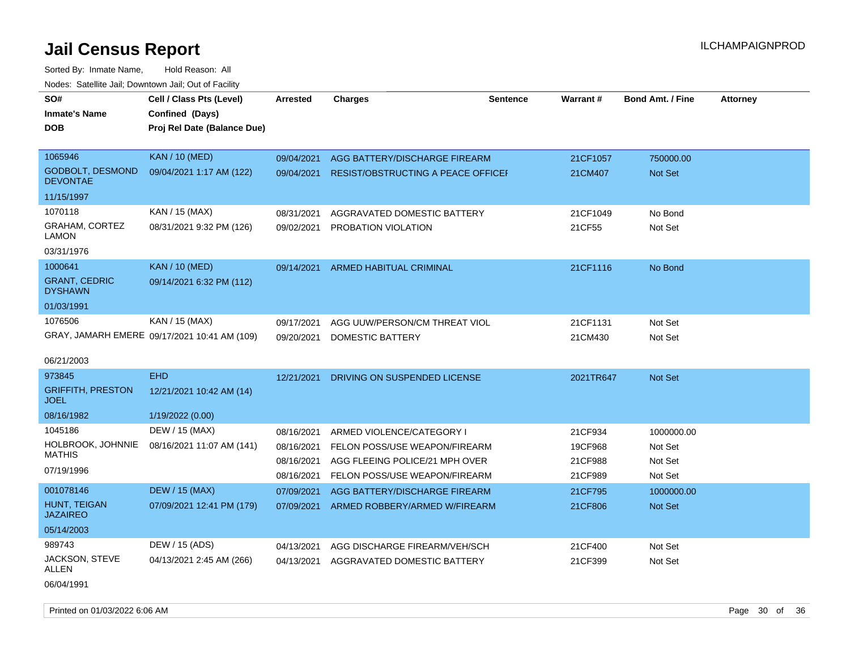| SO#<br><b>Inmate's Name</b><br>DOB                          | Cell / Class Pts (Level)<br>Confined (Days)<br>Proj Rel Date (Balance Due) | Arrested                                             | <b>Charges</b>                                                                                                                | <b>Sentence</b> | <b>Warrant#</b>                          | <b>Bond Amt. / Fine</b>                     | <b>Attorney</b> |
|-------------------------------------------------------------|----------------------------------------------------------------------------|------------------------------------------------------|-------------------------------------------------------------------------------------------------------------------------------|-----------------|------------------------------------------|---------------------------------------------|-----------------|
| 1065946<br><b>GODBOLT, DESMOND</b><br><b>DEVONTAE</b>       | <b>KAN / 10 (MED)</b><br>09/04/2021 1:17 AM (122)                          | 09/04/2021<br>09/04/2021                             | AGG BATTERY/DISCHARGE FIREARM<br><b>RESIST/OBSTRUCTING A PEACE OFFICEF</b>                                                    |                 | 21CF1057<br>21CM407                      | 750000.00<br>Not Set                        |                 |
| 11/15/1997                                                  |                                                                            |                                                      |                                                                                                                               |                 |                                          |                                             |                 |
| 1070118<br><b>GRAHAM, CORTEZ</b><br>LAMON<br>03/31/1976     | KAN / 15 (MAX)<br>08/31/2021 9:32 PM (126)                                 | 08/31/2021<br>09/02/2021                             | AGGRAVATED DOMESTIC BATTERY<br>PROBATION VIOLATION                                                                            |                 | 21CF1049<br>21CF55                       | No Bond<br>Not Set                          |                 |
| 1000641<br><b>GRANT, CEDRIC</b><br><b>DYSHAWN</b>           | <b>KAN / 10 (MED)</b><br>09/14/2021 6:32 PM (112)                          | 09/14/2021                                           | ARMED HABITUAL CRIMINAL                                                                                                       |                 | 21CF1116                                 | No Bond                                     |                 |
| 01/03/1991                                                  |                                                                            |                                                      |                                                                                                                               |                 |                                          |                                             |                 |
| 1076506<br>06/21/2003                                       | KAN / 15 (MAX)<br>GRAY, JAMARH EMERE 09/17/2021 10:41 AM (109)             | 09/17/2021<br>09/20/2021                             | AGG UUW/PERSON/CM THREAT VIOL<br>DOMESTIC BATTERY                                                                             |                 | 21CF1131<br>21CM430                      | Not Set<br>Not Set                          |                 |
| 973845                                                      | <b>EHD</b>                                                                 | 12/21/2021                                           | DRIVING ON SUSPENDED LICENSE                                                                                                  |                 | 2021TR647                                | <b>Not Set</b>                              |                 |
| <b>GRIFFITH, PRESTON</b><br>JOEL                            | 12/21/2021 10:42 AM (14)                                                   |                                                      |                                                                                                                               |                 |                                          |                                             |                 |
| 08/16/1982                                                  | 1/19/2022 (0.00)                                                           |                                                      |                                                                                                                               |                 |                                          |                                             |                 |
| 1045186<br>HOLBROOK, JOHNNIE<br><b>MATHIS</b><br>07/19/1996 | DEW / 15 (MAX)<br>08/16/2021 11:07 AM (141)                                | 08/16/2021<br>08/16/2021<br>08/16/2021<br>08/16/2021 | ARMED VIOLENCE/CATEGORY I<br>FELON POSS/USE WEAPON/FIREARM<br>AGG FLEEING POLICE/21 MPH OVER<br>FELON POSS/USE WEAPON/FIREARM |                 | 21CF934<br>19CF968<br>21CF988<br>21CF989 | 1000000.00<br>Not Set<br>Not Set<br>Not Set |                 |
| 001078146                                                   | <b>DEW / 15 (MAX)</b>                                                      | 07/09/2021                                           | AGG BATTERY/DISCHARGE FIREARM                                                                                                 |                 | 21CF795                                  | 1000000.00                                  |                 |
| HUNT, TEIGAN<br><b>JAZAIREO</b>                             | 07/09/2021 12:41 PM (179)                                                  | 07/09/2021                                           | ARMED ROBBERY/ARMED W/FIREARM                                                                                                 |                 | 21CF806                                  | <b>Not Set</b>                              |                 |
| 05/14/2003                                                  |                                                                            |                                                      |                                                                                                                               |                 |                                          |                                             |                 |
| 989743                                                      | DEW / 15 (ADS)                                                             | 04/13/2021                                           | AGG DISCHARGE FIREARM/VEH/SCH                                                                                                 |                 | 21CF400                                  | Not Set                                     |                 |
| JACKSON, STEVE<br>ALLEN<br>06/04/1991                       | 04/13/2021 2:45 AM (266)                                                   | 04/13/2021                                           | AGGRAVATED DOMESTIC BATTERY                                                                                                   |                 | 21CF399                                  | Not Set                                     |                 |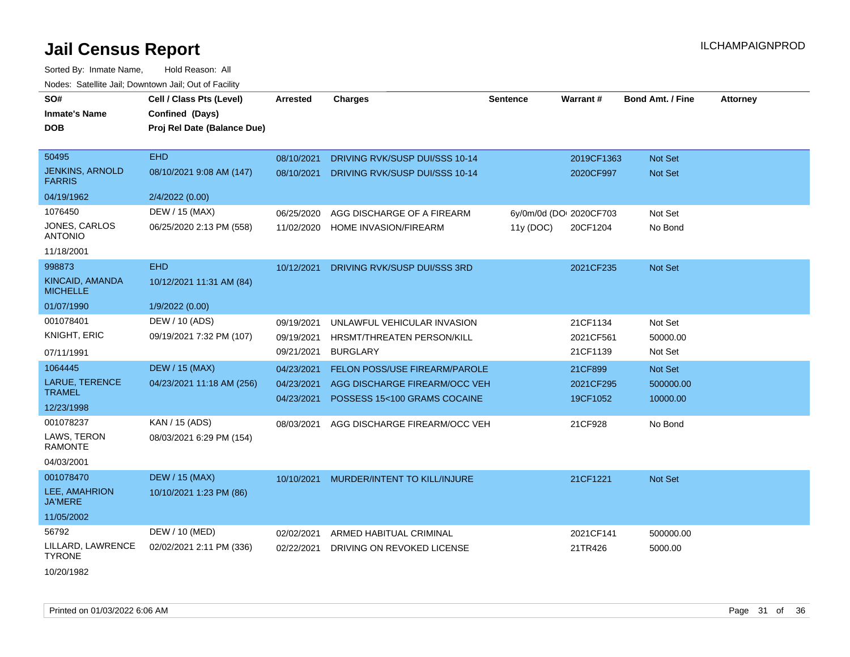| SO#<br><b>Inmate's Name</b><br><b>DOB</b> | Cell / Class Pts (Level)<br>Confined (Days)<br>Proj Rel Date (Balance Due) | <b>Arrested</b> | <b>Charges</b>                       | <b>Sentence</b> | Warrant#                | <b>Bond Amt. / Fine</b> | <b>Attorney</b> |
|-------------------------------------------|----------------------------------------------------------------------------|-----------------|--------------------------------------|-----------------|-------------------------|-------------------------|-----------------|
| 50495                                     | <b>EHD</b>                                                                 | 08/10/2021      | DRIVING RVK/SUSP DUI/SSS 10-14       |                 | 2019CF1363              | Not Set                 |                 |
| <b>JENKINS, ARNOLD</b><br><b>FARRIS</b>   | 08/10/2021 9:08 AM (147)                                                   | 08/10/2021      | DRIVING RVK/SUSP DUI/SSS 10-14       |                 | 2020CF997               | Not Set                 |                 |
| 04/19/1962                                | 2/4/2022 (0.00)                                                            |                 |                                      |                 |                         |                         |                 |
| 1076450                                   | DEW / 15 (MAX)                                                             | 06/25/2020      | AGG DISCHARGE OF A FIREARM           |                 | 6y/0m/0d (DOI 2020CF703 | Not Set                 |                 |
| <b>JONES, CARLOS</b><br><b>ANTONIO</b>    | 06/25/2020 2:13 PM (558)                                                   | 11/02/2020      | HOME INVASION/FIREARM                | 11y(DOC)        | 20CF1204                | No Bond                 |                 |
| 11/18/2001                                |                                                                            |                 |                                      |                 |                         |                         |                 |
| 998873                                    | <b>EHD</b>                                                                 | 10/12/2021      | DRIVING RVK/SUSP DUI/SSS 3RD         |                 | 2021CF235               | Not Set                 |                 |
| KINCAID, AMANDA<br><b>MICHELLE</b>        | 10/12/2021 11:31 AM (84)                                                   |                 |                                      |                 |                         |                         |                 |
| 01/07/1990                                | 1/9/2022 (0.00)                                                            |                 |                                      |                 |                         |                         |                 |
| 001078401                                 | DEW / 10 (ADS)                                                             | 09/19/2021      | UNLAWFUL VEHICULAR INVASION          |                 | 21CF1134                | Not Set                 |                 |
| KNIGHT, ERIC                              | 09/19/2021 7:32 PM (107)                                                   | 09/19/2021      | HRSMT/THREATEN PERSON/KILL           |                 | 2021CF561               | 50000.00                |                 |
| 07/11/1991                                |                                                                            | 09/21/2021      | <b>BURGLARY</b>                      |                 | 21CF1139                | Not Set                 |                 |
| 1064445                                   | <b>DEW / 15 (MAX)</b>                                                      | 04/23/2021      | <b>FELON POSS/USE FIREARM/PAROLE</b> |                 | 21CF899                 | <b>Not Set</b>          |                 |
| <b>LARUE, TERENCE</b><br><b>TRAMEL</b>    | 04/23/2021 11:18 AM (256)                                                  | 04/23/2021      | AGG DISCHARGE FIREARM/OCC VEH        |                 | 2021CF295               | 500000.00               |                 |
| 12/23/1998                                |                                                                            | 04/23/2021      | POSSESS 15<100 GRAMS COCAINE         |                 | 19CF1052                | 10000.00                |                 |
| 001078237                                 | KAN / 15 (ADS)                                                             | 08/03/2021      | AGG DISCHARGE FIREARM/OCC VEH        |                 | 21CF928                 | No Bond                 |                 |
| LAWS, TERON<br><b>RAMONTE</b>             | 08/03/2021 6:29 PM (154)                                                   |                 |                                      |                 |                         |                         |                 |
| 04/03/2001                                |                                                                            |                 |                                      |                 |                         |                         |                 |
| 001078470                                 | <b>DEW / 15 (MAX)</b>                                                      | 10/10/2021      | MURDER/INTENT TO KILL/INJURE         |                 | 21CF1221                | Not Set                 |                 |
| LEE, AMAHRION<br><b>JA'MERE</b>           | 10/10/2021 1:23 PM (86)                                                    |                 |                                      |                 |                         |                         |                 |
| 11/05/2002                                |                                                                            |                 |                                      |                 |                         |                         |                 |
| 56792                                     | DEW / 10 (MED)                                                             | 02/02/2021      | ARMED HABITUAL CRIMINAL              |                 | 2021CF141               | 500000.00               |                 |
| LILLARD, LAWRENCE<br><b>TYRONE</b>        | 02/02/2021 2:11 PM (336)                                                   | 02/22/2021      | DRIVING ON REVOKED LICENSE           |                 | 21TR426                 | 5000.00                 |                 |
| 10/20/1982                                |                                                                            |                 |                                      |                 |                         |                         |                 |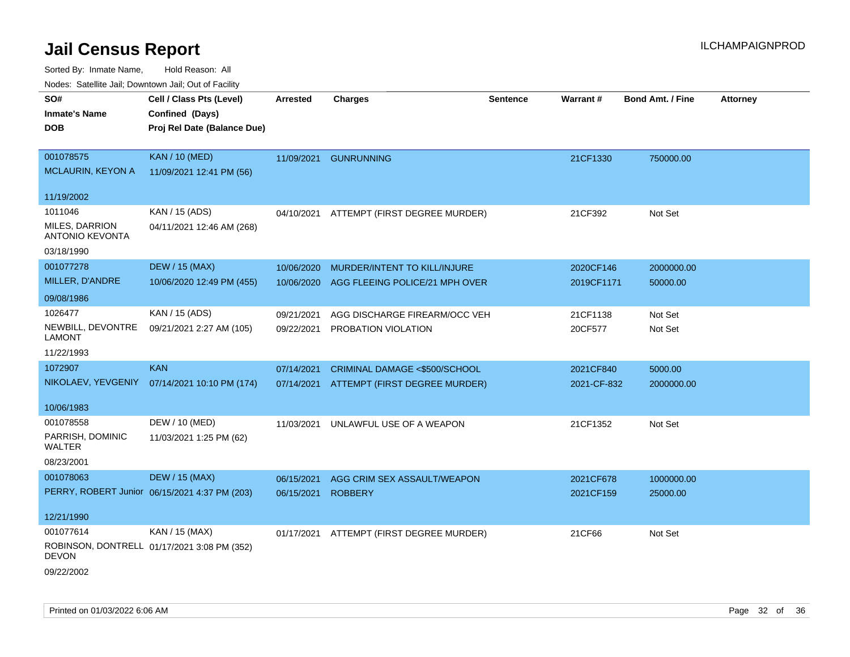Sorted By: Inmate Name, Hold Reason: All Nodes: Satellite Jail; Downtown Jail; Out of Facility

| rouco. Calcinic Jan, Downtown Jan, Out of Facility |                                               |                 |                                          |                 |             |                         |          |
|----------------------------------------------------|-----------------------------------------------|-----------------|------------------------------------------|-----------------|-------------|-------------------------|----------|
| SO#<br><b>Inmate's Name</b>                        | Cell / Class Pts (Level)<br>Confined (Days)   | <b>Arrested</b> | <b>Charges</b>                           | <b>Sentence</b> | Warrant#    | <b>Bond Amt. / Fine</b> | Attorney |
| <b>DOB</b>                                         | Proj Rel Date (Balance Due)                   |                 |                                          |                 |             |                         |          |
| 001078575                                          | <b>KAN / 10 (MED)</b>                         |                 | 11/09/2021 GUNRUNNING                    |                 | 21CF1330    | 750000.00               |          |
| MCLAURIN, KEYON A                                  | 11/09/2021 12:41 PM (56)                      |                 |                                          |                 |             |                         |          |
| 11/19/2002                                         |                                               |                 |                                          |                 |             |                         |          |
| 1011046                                            | KAN / 15 (ADS)                                | 04/10/2021      | ATTEMPT (FIRST DEGREE MURDER)            |                 | 21CF392     | Not Set                 |          |
| MILES, DARRION<br><b>ANTONIO KEVONTA</b>           | 04/11/2021 12:46 AM (268)                     |                 |                                          |                 |             |                         |          |
| 03/18/1990                                         |                                               |                 |                                          |                 |             |                         |          |
| 001077278                                          | <b>DEW / 15 (MAX)</b>                         | 10/06/2020      | MURDER/INTENT TO KILL/INJURE             |                 | 2020CF146   | 2000000.00              |          |
| MILLER, D'ANDRE                                    | 10/06/2020 12:49 PM (455)                     | 10/06/2020      | AGG FLEEING POLICE/21 MPH OVER           |                 | 2019CF1171  | 50000.00                |          |
| 09/08/1986                                         |                                               |                 |                                          |                 |             |                         |          |
| 1026477                                            | KAN / 15 (ADS)                                | 09/21/2021      | AGG DISCHARGE FIREARM/OCC VEH            |                 | 21CF1138    | Not Set                 |          |
| NEWBILL, DEVONTRE<br>LAMONT                        | 09/21/2021 2:27 AM (105)                      | 09/22/2021      | PROBATION VIOLATION                      |                 | 20CF577     | Not Set                 |          |
| 11/22/1993                                         |                                               |                 |                                          |                 |             |                         |          |
| 1072907                                            | <b>KAN</b>                                    | 07/14/2021      | CRIMINAL DAMAGE <\$500/SCHOOL            |                 | 2021CF840   | 5000.00                 |          |
| NIKOLAEV, YEVGENIY                                 | 07/14/2021 10:10 PM (174)                     |                 | 07/14/2021 ATTEMPT (FIRST DEGREE MURDER) |                 | 2021-CF-832 | 2000000.00              |          |
| 10/06/1983                                         |                                               |                 |                                          |                 |             |                         |          |
| 001078558                                          | DEW / 10 (MED)                                | 11/03/2021      | UNLAWFUL USE OF A WEAPON                 |                 | 21CF1352    | Not Set                 |          |
| PARRISH, DOMINIC<br>WALTER                         | 11/03/2021 1:25 PM (62)                       |                 |                                          |                 |             |                         |          |
| 08/23/2001                                         |                                               |                 |                                          |                 |             |                         |          |
| 001078063                                          | <b>DEW / 15 (MAX)</b>                         | 06/15/2021      | AGG CRIM SEX ASSAULT/WEAPON              |                 | 2021CF678   | 1000000.00              |          |
|                                                    | PERRY, ROBERT Junior 06/15/2021 4:37 PM (203) | 06/15/2021      | <b>ROBBERY</b>                           |                 | 2021CF159   | 25000.00                |          |
| 12/21/1990                                         |                                               |                 |                                          |                 |             |                         |          |
| 001077614                                          | KAN / 15 (MAX)                                |                 | 01/17/2021 ATTEMPT (FIRST DEGREE MURDER) |                 | 21CF66      | Not Set                 |          |
| <b>DEVON</b>                                       | ROBINSON, DONTRELL 01/17/2021 3:08 PM (352)   |                 |                                          |                 |             |                         |          |
| 09/22/2002                                         |                                               |                 |                                          |                 |             |                         |          |

Printed on 01/03/2022 6:06 AM Page 32 of 36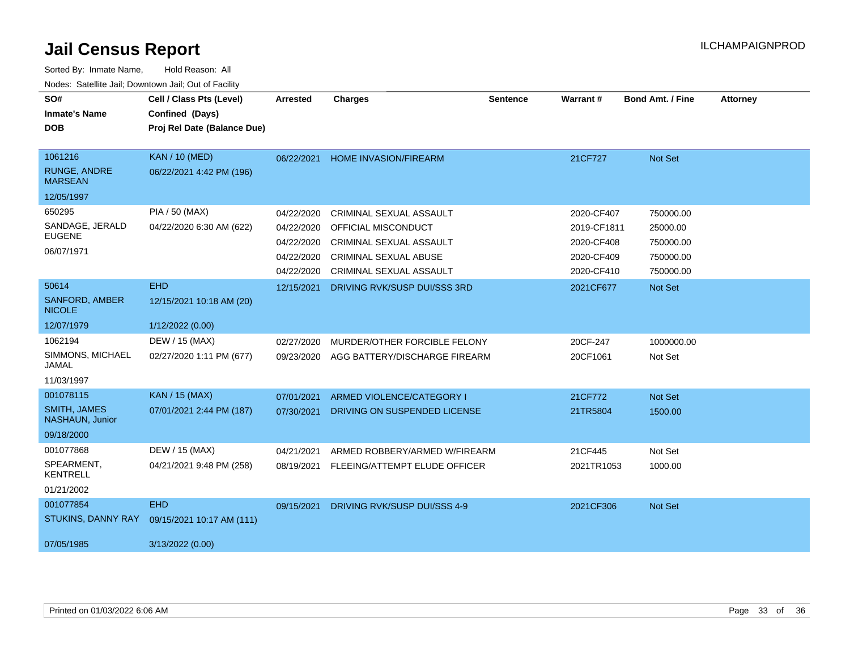| SO#                                    | Cell / Class Pts (Level)    | <b>Arrested</b> | <b>Charges</b>                   | <b>Sentence</b> | Warrant#    | <b>Bond Amt. / Fine</b> | <b>Attorney</b> |
|----------------------------------------|-----------------------------|-----------------|----------------------------------|-----------------|-------------|-------------------------|-----------------|
| <b>Inmate's Name</b>                   | Confined (Days)             |                 |                                  |                 |             |                         |                 |
| <b>DOB</b>                             | Proj Rel Date (Balance Due) |                 |                                  |                 |             |                         |                 |
|                                        |                             |                 |                                  |                 |             |                         |                 |
| 1061216                                | <b>KAN / 10 (MED)</b>       | 06/22/2021      | <b>HOME INVASION/FIREARM</b>     |                 | 21CF727     | Not Set                 |                 |
| <b>RUNGE, ANDRE</b><br><b>MARSEAN</b>  | 06/22/2021 4:42 PM (196)    |                 |                                  |                 |             |                         |                 |
| 12/05/1997                             |                             |                 |                                  |                 |             |                         |                 |
| 650295                                 | PIA / 50 (MAX)              | 04/22/2020      | <b>CRIMINAL SEXUAL ASSAULT</b>   |                 | 2020-CF407  | 750000.00               |                 |
| SANDAGE, JERALD                        | 04/22/2020 6:30 AM (622)    | 04/22/2020      | <b>OFFICIAL MISCONDUCT</b>       |                 | 2019-CF1811 | 25000.00                |                 |
| <b>EUGENE</b>                          |                             | 04/22/2020      | <b>CRIMINAL SEXUAL ASSAULT</b>   |                 | 2020-CF408  | 750000.00               |                 |
| 06/07/1971                             |                             | 04/22/2020      | <b>CRIMINAL SEXUAL ABUSE</b>     |                 | 2020-CF409  | 750000.00               |                 |
|                                        |                             | 04/22/2020      | CRIMINAL SEXUAL ASSAULT          |                 | 2020-CF410  | 750000.00               |                 |
| 50614                                  | <b>EHD</b>                  | 12/15/2021      | DRIVING RVK/SUSP DUI/SSS 3RD     |                 | 2021CF677   | Not Set                 |                 |
| <b>SANFORD, AMBER</b><br><b>NICOLE</b> | 12/15/2021 10:18 AM (20)    |                 |                                  |                 |             |                         |                 |
| 12/07/1979                             | 1/12/2022 (0.00)            |                 |                                  |                 |             |                         |                 |
| 1062194                                | DEW / 15 (MAX)              | 02/27/2020      | MURDER/OTHER FORCIBLE FELONY     |                 | 20CF-247    | 1000000.00              |                 |
| SIMMONS, MICHAEL<br>JAMAL              | 02/27/2020 1:11 PM (677)    | 09/23/2020      | AGG BATTERY/DISCHARGE FIREARM    |                 | 20CF1061    | Not Set                 |                 |
| 11/03/1997                             |                             |                 |                                  |                 |             |                         |                 |
| 001078115                              | <b>KAN / 15 (MAX)</b>       | 07/01/2021      | <b>ARMED VIOLENCE/CATEGORY I</b> |                 | 21CF772     | Not Set                 |                 |
| <b>SMITH, JAMES</b><br>NASHAUN, Junior | 07/01/2021 2:44 PM (187)    | 07/30/2021      | DRIVING ON SUSPENDED LICENSE     |                 | 21TR5804    | 1500.00                 |                 |
| 09/18/2000                             |                             |                 |                                  |                 |             |                         |                 |
| 001077868                              | DEW / 15 (MAX)              | 04/21/2021      | ARMED ROBBERY/ARMED W/FIREARM    |                 | 21CF445     | Not Set                 |                 |
| SPEARMENT,<br><b>KENTRELL</b>          | 04/21/2021 9:48 PM (258)    | 08/19/2021      | FLEEING/ATTEMPT ELUDE OFFICER    |                 | 2021TR1053  | 1000.00                 |                 |
| 01/21/2002                             |                             |                 |                                  |                 |             |                         |                 |
| 001077854                              | <b>EHD</b>                  | 09/15/2021      | DRIVING RVK/SUSP DUI/SSS 4-9     |                 | 2021CF306   | Not Set                 |                 |
| STUKINS, DANNY RAY                     | 09/15/2021 10:17 AM (111)   |                 |                                  |                 |             |                         |                 |
| 07/05/1985                             | 3/13/2022 (0.00)            |                 |                                  |                 |             |                         |                 |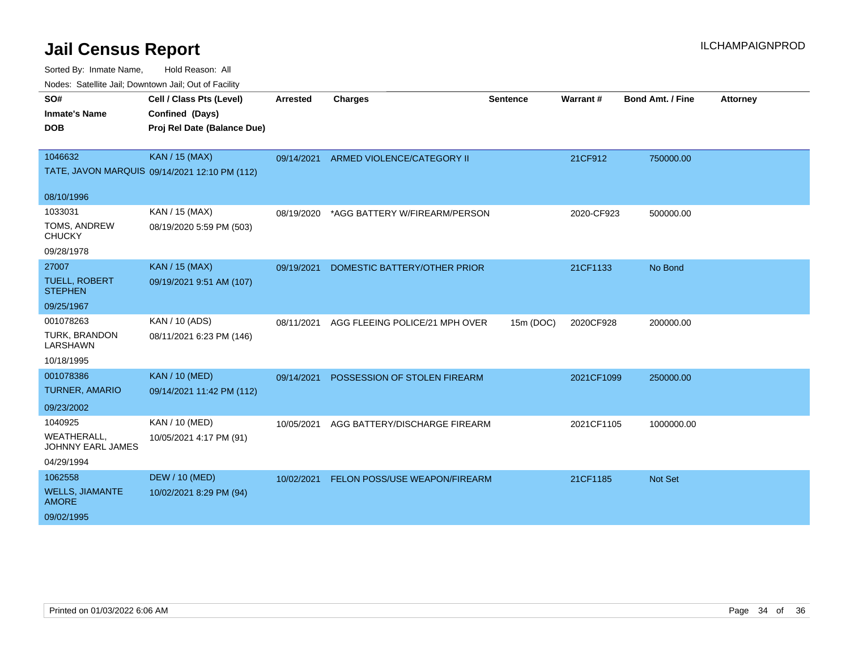| SO#                                     | Cell / Class Pts (Level)                      | <b>Arrested</b> | Charges                        | <b>Sentence</b> | Warrant#   | <b>Bond Amt. / Fine</b> | <b>Attorney</b> |
|-----------------------------------------|-----------------------------------------------|-----------------|--------------------------------|-----------------|------------|-------------------------|-----------------|
| <b>Inmate's Name</b>                    | Confined (Days)                               |                 |                                |                 |            |                         |                 |
| <b>DOB</b>                              | Proj Rel Date (Balance Due)                   |                 |                                |                 |            |                         |                 |
|                                         |                                               |                 |                                |                 |            |                         |                 |
| 1046632                                 | <b>KAN / 15 (MAX)</b>                         | 09/14/2021      | ARMED VIOLENCE/CATEGORY II     |                 | 21CF912    | 750000.00               |                 |
|                                         | TATE, JAVON MARQUIS 09/14/2021 12:10 PM (112) |                 |                                |                 |            |                         |                 |
| 08/10/1996                              |                                               |                 |                                |                 |            |                         |                 |
| 1033031                                 | KAN / 15 (MAX)                                | 08/19/2020      | *AGG BATTERY W/FIREARM/PERSON  |                 | 2020-CF923 | 500000.00               |                 |
| TOMS, ANDREW                            | 08/19/2020 5:59 PM (503)                      |                 |                                |                 |            |                         |                 |
| <b>CHUCKY</b>                           |                                               |                 |                                |                 |            |                         |                 |
| 09/28/1978                              |                                               |                 |                                |                 |            |                         |                 |
| 27007                                   | <b>KAN / 15 (MAX)</b>                         | 09/19/2021      | DOMESTIC BATTERY/OTHER PRIOR   |                 | 21CF1133   | No Bond                 |                 |
| <b>TUELL, ROBERT</b><br><b>STEPHEN</b>  | 09/19/2021 9:51 AM (107)                      |                 |                                |                 |            |                         |                 |
| 09/25/1967                              |                                               |                 |                                |                 |            |                         |                 |
| 001078263                               | KAN / 10 (ADS)                                | 08/11/2021      | AGG FLEEING POLICE/21 MPH OVER | 15m (DOC)       | 2020CF928  | 200000.00               |                 |
| TURK, BRANDON<br>LARSHAWN               | 08/11/2021 6:23 PM (146)                      |                 |                                |                 |            |                         |                 |
| 10/18/1995                              |                                               |                 |                                |                 |            |                         |                 |
| 001078386                               | <b>KAN / 10 (MED)</b>                         | 09/14/2021      | POSSESSION OF STOLEN FIREARM   |                 | 2021CF1099 | 250000.00               |                 |
| <b>TURNER, AMARIO</b>                   | 09/14/2021 11:42 PM (112)                     |                 |                                |                 |            |                         |                 |
| 09/23/2002                              |                                               |                 |                                |                 |            |                         |                 |
| 1040925                                 | KAN / 10 (MED)                                | 10/05/2021      | AGG BATTERY/DISCHARGE FIREARM  |                 | 2021CF1105 | 1000000.00              |                 |
| <b>WEATHERALL,</b><br>JOHNNY EARL JAMES | 10/05/2021 4:17 PM (91)                       |                 |                                |                 |            |                         |                 |
| 04/29/1994                              |                                               |                 |                                |                 |            |                         |                 |
| 1062558                                 | <b>DEW / 10 (MED)</b>                         | 10/02/2021      | FELON POSS/USE WEAPON/FIREARM  |                 | 21CF1185   | <b>Not Set</b>          |                 |
| <b>WELLS, JIAMANTE</b><br><b>AMORE</b>  | 10/02/2021 8:29 PM (94)                       |                 |                                |                 |            |                         |                 |
| 09/02/1995                              |                                               |                 |                                |                 |            |                         |                 |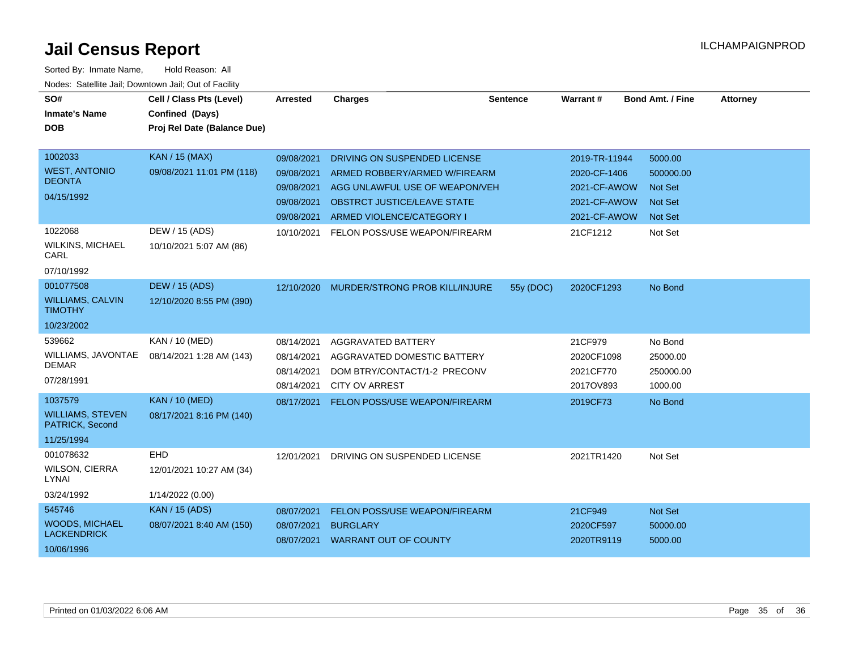| SO#<br><b>Inmate's Name</b><br><b>DOB</b>                            | Cell / Class Pts (Level)<br>Confined (Days)<br>Proj Rel Date (Balance Due) | Arrested                                                           | <b>Charges</b>                                                                                                                                              | <b>Sentence</b> | Warrant#                                                                      | <b>Bond Amt. / Fine</b>                                             | <b>Attorney</b> |
|----------------------------------------------------------------------|----------------------------------------------------------------------------|--------------------------------------------------------------------|-------------------------------------------------------------------------------------------------------------------------------------------------------------|-----------------|-------------------------------------------------------------------------------|---------------------------------------------------------------------|-----------------|
| 1002033<br><b>WEST, ANTONIO</b><br><b>DEONTA</b><br>04/15/1992       | <b>KAN / 15 (MAX)</b><br>09/08/2021 11:01 PM (118)                         | 09/08/2021<br>09/08/2021<br>09/08/2021<br>09/08/2021<br>09/08/2021 | DRIVING ON SUSPENDED LICENSE<br>ARMED ROBBERY/ARMED W/FIREARM<br>AGG UNLAWFUL USE OF WEAPON/VEH<br>OBSTRCT JUSTICE/LEAVE STATE<br>ARMED VIOLENCE/CATEGORY I |                 | 2019-TR-11944<br>2020-CF-1406<br>2021-CF-AWOW<br>2021-CF-AWOW<br>2021-CF-AWOW | 5000.00<br>500000.00<br><b>Not Set</b><br><b>Not Set</b><br>Not Set |                 |
| 1022068<br><b>WILKINS, MICHAEL</b><br>CARL<br>07/10/1992             | DEW / 15 (ADS)<br>10/10/2021 5:07 AM (86)                                  | 10/10/2021                                                         | FELON POSS/USE WEAPON/FIREARM                                                                                                                               |                 | 21CF1212                                                                      | Not Set                                                             |                 |
| 001077508<br><b>WILLIAMS, CALVIN</b><br><b>TIMOTHY</b><br>10/23/2002 | <b>DEW / 15 (ADS)</b><br>12/10/2020 8:55 PM (390)                          |                                                                    | 12/10/2020 MURDER/STRONG PROB KILL/INJURE                                                                                                                   | 55y (DOC)       | 2020CF1293                                                                    | No Bond                                                             |                 |
| 539662<br>WILLIAMS, JAVONTAE<br><b>DEMAR</b><br>07/28/1991           | KAN / 10 (MED)<br>08/14/2021 1:28 AM (143)                                 | 08/14/2021<br>08/14/2021<br>08/14/2021<br>08/14/2021               | AGGRAVATED BATTERY<br>AGGRAVATED DOMESTIC BATTERY<br>DOM BTRY/CONTACT/1-2 PRECONV<br><b>CITY OV ARREST</b>                                                  |                 | 21CF979<br>2020CF1098<br>2021CF770<br>2017OV893                               | No Bond<br>25000.00<br>250000.00<br>1000.00                         |                 |
| 1037579<br><b>WILLIAMS, STEVEN</b><br>PATRICK, Second<br>11/25/1994  | <b>KAN / 10 (MED)</b><br>08/17/2021 8:16 PM (140)                          | 08/17/2021                                                         | FELON POSS/USE WEAPON/FIREARM                                                                                                                               |                 | 2019CF73                                                                      | No Bond                                                             |                 |
| 001078632<br><b>WILSON, CIERRA</b><br>LYNAI<br>03/24/1992            | EHD<br>12/01/2021 10:27 AM (34)<br>1/14/2022 (0.00)                        | 12/01/2021                                                         | DRIVING ON SUSPENDED LICENSE                                                                                                                                |                 | 2021TR1420                                                                    | Not Set                                                             |                 |
| 545746<br><b>WOODS, MICHAEL</b><br><b>LACKENDRICK</b><br>10/06/1996  | <b>KAN / 15 (ADS)</b><br>08/07/2021 8:40 AM (150)                          | 08/07/2021<br>08/07/2021                                           | FELON POSS/USE WEAPON/FIREARM<br><b>BURGLARY</b><br>08/07/2021 WARRANT OUT OF COUNTY                                                                        |                 | 21CF949<br>2020CF597<br>2020TR9119                                            | Not Set<br>50000.00<br>5000.00                                      |                 |